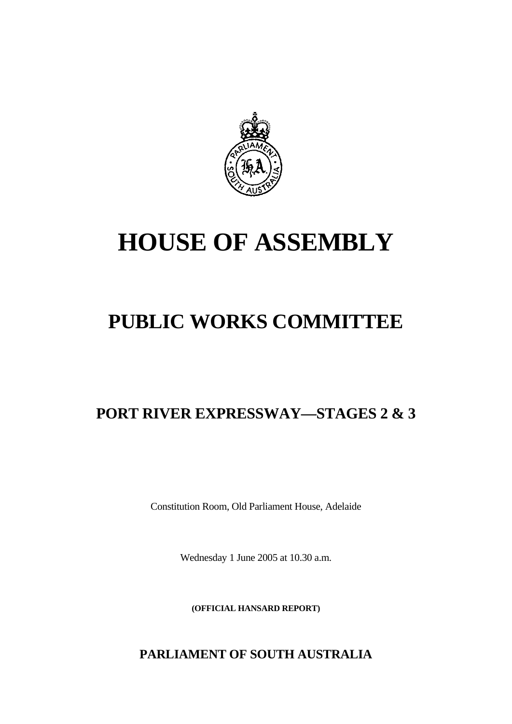

# **HOUSE OF ASSEMBLY**

## **PUBLIC WORKS COMMITTEE**

### **PORT RIVER EXPRESSWAY—STAGES 2 & 3**

Constitution Room, Old Parliament House, Adelaide

Wednesday 1 June 2005 at 10.30 a.m.

**(OFFICIAL HANSARD REPORT)** 

**PARLIAMENT OF SOUTH AUSTRALIA**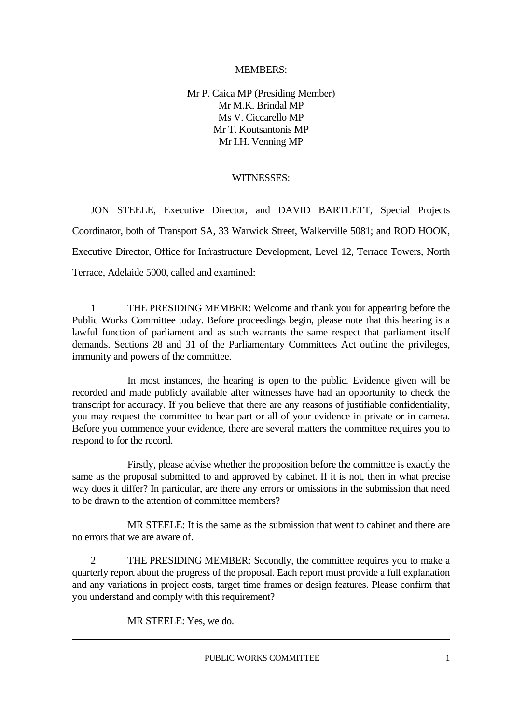#### MEMBERS:

Mr P. Caica MP (Presiding Member) Mr M.K. Brindal MP Ms V. Ciccarello MP Mr T. Koutsantonis MP Mr I.H. Venning MP

#### WITNESSES:

 JON STEELE, Executive Director, and DAVID BARTLETT, Special Projects Coordinator, both of Transport SA, 33 Warwick Street, Walkerville 5081; and ROD HOOK, Executive Director, Office for Infrastructure Development, Level 12, Terrace Towers, North Terrace, Adelaide 5000, called and examined:

 1 THE PRESIDING MEMBER: Welcome and thank you for appearing before the Public Works Committee today. Before proceedings begin, please note that this hearing is a lawful function of parliament and as such warrants the same respect that parliament itself demands. Sections 28 and 31 of the Parliamentary Committees Act outline the privileges, immunity and powers of the committee.

 In most instances, the hearing is open to the public. Evidence given will be recorded and made publicly available after witnesses have had an opportunity to check the transcript for accuracy. If you believe that there are any reasons of justifiable confidentiality, you may request the committee to hear part or all of your evidence in private or in camera. Before you commence your evidence, there are several matters the committee requires you to respond to for the record.

 Firstly, please advise whether the proposition before the committee is exactly the same as the proposal submitted to and approved by cabinet. If it is not, then in what precise way does it differ? In particular, are there any errors or omissions in the submission that need to be drawn to the attention of committee members?

 MR STEELE: It is the same as the submission that went to cabinet and there are no errors that we are aware of.

 2 THE PRESIDING MEMBER: Secondly, the committee requires you to make a quarterly report about the progress of the proposal. Each report must provide a full explanation and any variations in project costs, target time frames or design features. Please confirm that you understand and comply with this requirement?

MR STEELE: Yes, we do.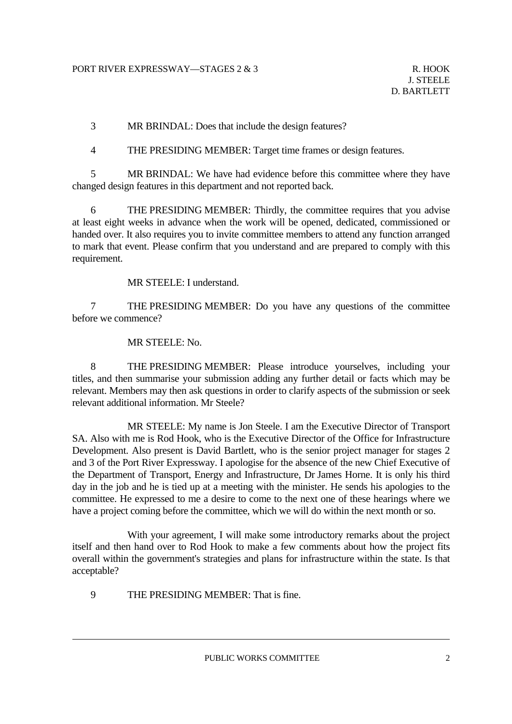3 MR BRINDAL: Does that include the design features?

4 THE PRESIDING MEMBER: Target time frames or design features.

 5 MR BRINDAL: We have had evidence before this committee where they have changed design features in this department and not reported back.

 6 THE PRESIDING MEMBER: Thirdly, the committee requires that you advise at least eight weeks in advance when the work will be opened, dedicated, commissioned or handed over. It also requires you to invite committee members to attend any function arranged to mark that event. Please confirm that you understand and are prepared to comply with this requirement.

MR STEELE: I understand.

 7 THE PRESIDING MEMBER: Do you have any questions of the committee before we commence?

MR STEELE: No.

 8 THE PRESIDING MEMBER: Please introduce yourselves, including your titles, and then summarise your submission adding any further detail or facts which may be relevant. Members may then ask questions in order to clarify aspects of the submission or seek relevant additional information. Mr Steele?

 MR STEELE: My name is Jon Steele. I am the Executive Director of Transport SA. Also with me is Rod Hook, who is the Executive Director of the Office for Infrastructure Development. Also present is David Bartlett, who is the senior project manager for stages 2 and 3 of the Port River Expressway. I apologise for the absence of the new Chief Executive of the Department of Transport, Energy and Infrastructure, Dr James Horne. It is only his third day in the job and he is tied up at a meeting with the minister. He sends his apologies to the committee. He expressed to me a desire to come to the next one of these hearings where we have a project coming before the committee, which we will do within the next month or so.

 With your agreement, I will make some introductory remarks about the project itself and then hand over to Rod Hook to make a few comments about how the project fits overall within the government's strategies and plans for infrastructure within the state. Is that acceptable?

9 THE PRESIDING MEMBER: That is fine.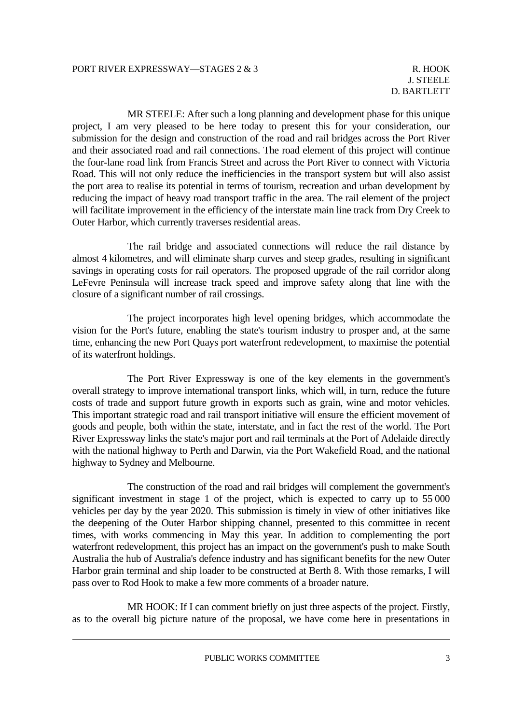MR STEELE: After such a long planning and development phase for this unique project, I am very pleased to be here today to present this for your consideration, our submission for the design and construction of the road and rail bridges across the Port River and their associated road and rail connections. The road element of this project will continue the four-lane road link from Francis Street and across the Port River to connect with Victoria Road. This will not only reduce the inefficiencies in the transport system but will also assist the port area to realise its potential in terms of tourism, recreation and urban development by reducing the impact of heavy road transport traffic in the area. The rail element of the project will facilitate improvement in the efficiency of the interstate main line track from Dry Creek to Outer Harbor, which currently traverses residential areas.

 The rail bridge and associated connections will reduce the rail distance by almost 4 kilometres, and will eliminate sharp curves and steep grades, resulting in significant savings in operating costs for rail operators. The proposed upgrade of the rail corridor along LeFevre Peninsula will increase track speed and improve safety along that line with the closure of a significant number of rail crossings.

 The project incorporates high level opening bridges, which accommodate the vision for the Port's future, enabling the state's tourism industry to prosper and, at the same time, enhancing the new Port Quays port waterfront redevelopment, to maximise the potential of its waterfront holdings.

 The Port River Expressway is one of the key elements in the government's overall strategy to improve international transport links, which will, in turn, reduce the future costs of trade and support future growth in exports such as grain, wine and motor vehicles. This important strategic road and rail transport initiative will ensure the efficient movement of goods and people, both within the state, interstate, and in fact the rest of the world. The Port River Expressway links the state's major port and rail terminals at the Port of Adelaide directly with the national highway to Perth and Darwin, via the Port Wakefield Road, and the national highway to Sydney and Melbourne.

 The construction of the road and rail bridges will complement the government's significant investment in stage 1 of the project, which is expected to carry up to 55 000 vehicles per day by the year 2020. This submission is timely in view of other initiatives like the deepening of the Outer Harbor shipping channel, presented to this committee in recent times, with works commencing in May this year. In addition to complementing the port waterfront redevelopment, this project has an impact on the government's push to make South Australia the hub of Australia's defence industry and has significant benefits for the new Outer Harbor grain terminal and ship loader to be constructed at Berth 8. With those remarks, I will pass over to Rod Hook to make a few more comments of a broader nature.

 MR HOOK: If I can comment briefly on just three aspects of the project. Firstly, as to the overall big picture nature of the proposal, we have come here in presentations in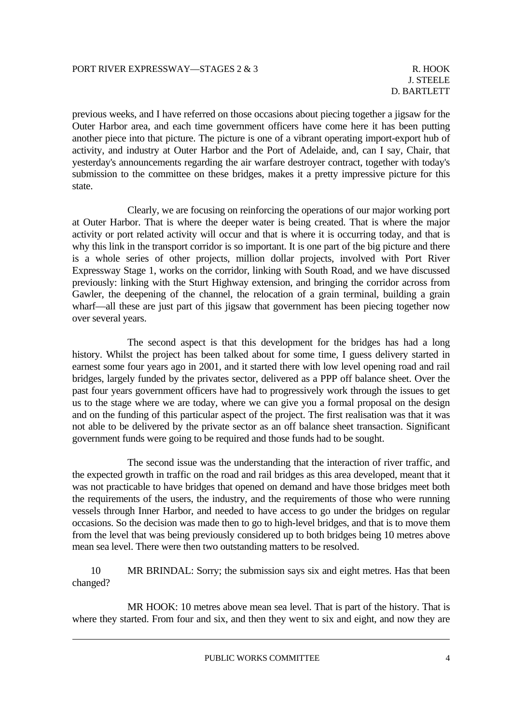previous weeks, and I have referred on those occasions about piecing together a jigsaw for the Outer Harbor area, and each time government officers have come here it has been putting another piece into that picture. The picture is one of a vibrant operating import-export hub of activity, and industry at Outer Harbor and the Port of Adelaide, and, can I say, Chair, that yesterday's announcements regarding the air warfare destroyer contract, together with today's submission to the committee on these bridges, makes it a pretty impressive picture for this state.

 Clearly, we are focusing on reinforcing the operations of our major working port at Outer Harbor. That is where the deeper water is being created. That is where the major activity or port related activity will occur and that is where it is occurring today, and that is why this link in the transport corridor is so important. It is one part of the big picture and there is a whole series of other projects, million dollar projects, involved with Port River Expressway Stage 1, works on the corridor, linking with South Road, and we have discussed previously: linking with the Sturt Highway extension, and bringing the corridor across from Gawler, the deepening of the channel, the relocation of a grain terminal, building a grain wharf—all these are just part of this jigsaw that government has been piecing together now over several years.

 The second aspect is that this development for the bridges has had a long history. Whilst the project has been talked about for some time, I guess delivery started in earnest some four years ago in 2001, and it started there with low level opening road and rail bridges, largely funded by the privates sector, delivered as a PPP off balance sheet. Over the past four years government officers have had to progressively work through the issues to get us to the stage where we are today, where we can give you a formal proposal on the design and on the funding of this particular aspect of the project. The first realisation was that it was not able to be delivered by the private sector as an off balance sheet transaction. Significant government funds were going to be required and those funds had to be sought.

 The second issue was the understanding that the interaction of river traffic, and the expected growth in traffic on the road and rail bridges as this area developed, meant that it was not practicable to have bridges that opened on demand and have those bridges meet both the requirements of the users, the industry, and the requirements of those who were running vessels through Inner Harbor, and needed to have access to go under the bridges on regular occasions. So the decision was made then to go to high-level bridges, and that is to move them from the level that was being previously considered up to both bridges being 10 metres above mean sea level. There were then two outstanding matters to be resolved.

 10 MR BRINDAL: Sorry; the submission says six and eight metres. Has that been changed?

 MR HOOK: 10 metres above mean sea level. That is part of the history. That is where they started. From four and six, and then they went to six and eight, and now they are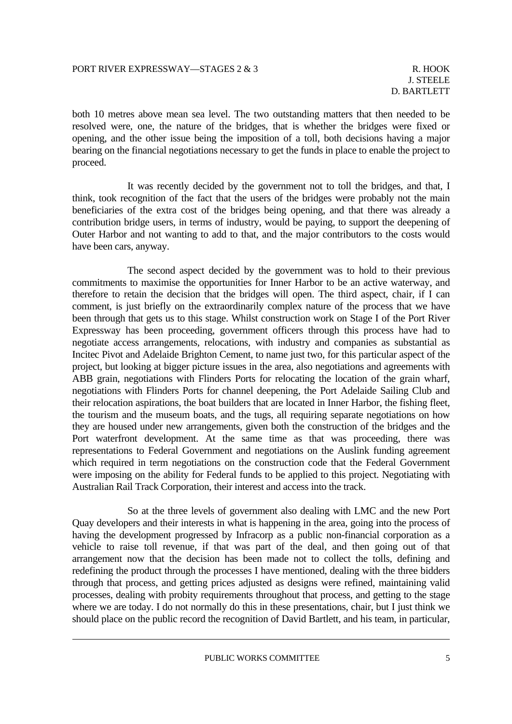both 10 metres above mean sea level. The two outstanding matters that then needed to be resolved were, one, the nature of the bridges, that is whether the bridges were fixed or opening, and the other issue being the imposition of a toll, both decisions having a major bearing on the financial negotiations necessary to get the funds in place to enable the project to proceed.

 It was recently decided by the government not to toll the bridges, and that, I think, took recognition of the fact that the users of the bridges were probably not the main beneficiaries of the extra cost of the bridges being opening, and that there was already a contribution bridge users, in terms of industry, would be paying, to support the deepening of Outer Harbor and not wanting to add to that, and the major contributors to the costs would have been cars, anyway.

 The second aspect decided by the government was to hold to their previous commitments to maximise the opportunities for Inner Harbor to be an active waterway, and therefore to retain the decision that the bridges will open. The third aspect, chair, if I can comment, is just briefly on the extraordinarily complex nature of the process that we have been through that gets us to this stage. Whilst construction work on Stage I of the Port River Expressway has been proceeding, government officers through this process have had to negotiate access arrangements, relocations, with industry and companies as substantial as Incitec Pivot and Adelaide Brighton Cement, to name just two, for this particular aspect of the project, but looking at bigger picture issues in the area, also negotiations and agreements with ABB grain, negotiations with Flinders Ports for relocating the location of the grain wharf, negotiations with Flinders Ports for channel deepening, the Port Adelaide Sailing Club and their relocation aspirations, the boat builders that are located in Inner Harbor, the fishing fleet, the tourism and the museum boats, and the tugs, all requiring separate negotiations on how they are housed under new arrangements, given both the construction of the bridges and the Port waterfront development. At the same time as that was proceeding, there was representations to Federal Government and negotiations on the Auslink funding agreement which required in term negotiations on the construction code that the Federal Government were imposing on the ability for Federal funds to be applied to this project. Negotiating with Australian Rail Track Corporation, their interest and access into the track.

 So at the three levels of government also dealing with LMC and the new Port Quay developers and their interests in what is happening in the area, going into the process of having the development progressed by Infracorp as a public non-financial corporation as a vehicle to raise toll revenue, if that was part of the deal, and then going out of that arrangement now that the decision has been made not to collect the tolls, defining and redefining the product through the processes I have mentioned, dealing with the three bidders through that process, and getting prices adjusted as designs were refined, maintaining valid processes, dealing with probity requirements throughout that process, and getting to the stage where we are today. I do not normally do this in these presentations, chair, but I just think we should place on the public record the recognition of David Bartlett, and his team, in particular,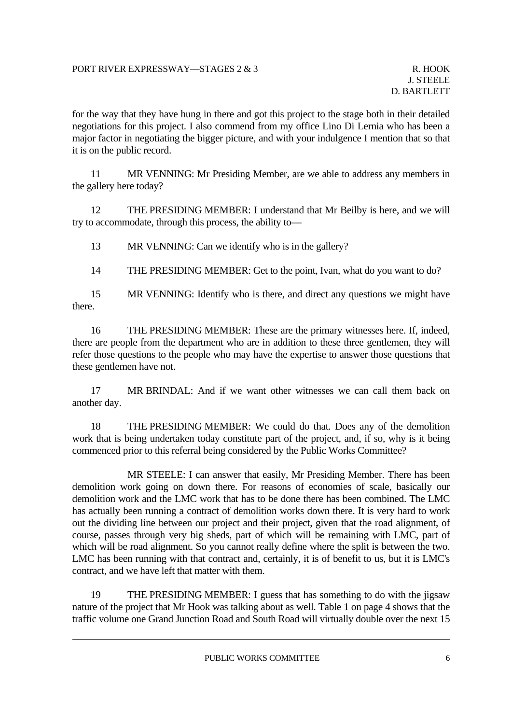for the way that they have hung in there and got this project to the stage both in their detailed negotiations for this project. I also commend from my office Lino Di Lernia who has been a major factor in negotiating the bigger picture, and with your indulgence I mention that so that it is on the public record.

 11 MR VENNING: Mr Presiding Member, are we able to address any members in the gallery here today?

 12 THE PRESIDING MEMBER: I understand that Mr Beilby is here, and we will try to accommodate, through this process, the ability to—

13 MR VENNING: Can we identify who is in the gallery?

14 THE PRESIDING MEMBER: Get to the point, Ivan, what do you want to do?

 15 MR VENNING: Identify who is there, and direct any questions we might have there.

 16 THE PRESIDING MEMBER: These are the primary witnesses here. If, indeed, there are people from the department who are in addition to these three gentlemen, they will refer those questions to the people who may have the expertise to answer those questions that these gentlemen have not.

 17 MR BRINDAL: And if we want other witnesses we can call them back on another day.

 18 THE PRESIDING MEMBER: We could do that. Does any of the demolition work that is being undertaken today constitute part of the project, and, if so, why is it being commenced prior to this referral being considered by the Public Works Committee?

 MR STEELE: I can answer that easily, Mr Presiding Member. There has been demolition work going on down there. For reasons of economies of scale, basically our demolition work and the LMC work that has to be done there has been combined. The LMC has actually been running a contract of demolition works down there. It is very hard to work out the dividing line between our project and their project, given that the road alignment, of course, passes through very big sheds, part of which will be remaining with LMC, part of which will be road alignment. So you cannot really define where the split is between the two. LMC has been running with that contract and, certainly, it is of benefit to us, but it is LMC's contract, and we have left that matter with them.

 19 THE PRESIDING MEMBER: I guess that has something to do with the jigsaw nature of the project that Mr Hook was talking about as well. Table 1 on page 4 shows that the traffic volume one Grand Junction Road and South Road will virtually double over the next 15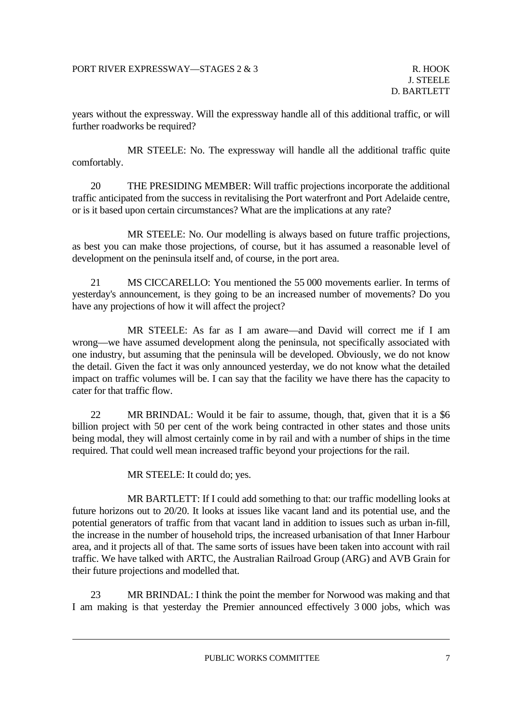years without the expressway. Will the expressway handle all of this additional traffic, or will further roadworks be required?

 MR STEELE: No. The expressway will handle all the additional traffic quite comfortably.

 20 THE PRESIDING MEMBER: Will traffic projections incorporate the additional traffic anticipated from the success in revitalising the Port waterfront and Port Adelaide centre, or is it based upon certain circumstances? What are the implications at any rate?

 MR STEELE: No. Our modelling is always based on future traffic projections, as best you can make those projections, of course, but it has assumed a reasonable level of development on the peninsula itself and, of course, in the port area.

 21 MS CICCARELLO: You mentioned the 55 000 movements earlier. In terms of yesterday's announcement, is they going to be an increased number of movements? Do you have any projections of how it will affect the project?

 MR STEELE: As far as I am aware—and David will correct me if I am wrong—we have assumed development along the peninsula, not specifically associated with one industry, but assuming that the peninsula will be developed. Obviously, we do not know the detail. Given the fact it was only announced yesterday, we do not know what the detailed impact on traffic volumes will be. I can say that the facility we have there has the capacity to cater for that traffic flow.

 22 MR BRINDAL: Would it be fair to assume, though, that, given that it is a \$6 billion project with 50 per cent of the work being contracted in other states and those units being modal, they will almost certainly come in by rail and with a number of ships in the time required. That could well mean increased traffic beyond your projections for the rail.

MR STEELE: It could do; yes.

 MR BARTLETT: If I could add something to that: our traffic modelling looks at future horizons out to 20/20. It looks at issues like vacant land and its potential use, and the potential generators of traffic from that vacant land in addition to issues such as urban in-fill, the increase in the number of household trips, the increased urbanisation of that Inner Harbour area, and it projects all of that. The same sorts of issues have been taken into account with rail traffic. We have talked with ARTC, the Australian Railroad Group (ARG) and AVB Grain for their future projections and modelled that.

 23 MR BRINDAL: I think the point the member for Norwood was making and that I am making is that yesterday the Premier announced effectively 3 000 jobs, which was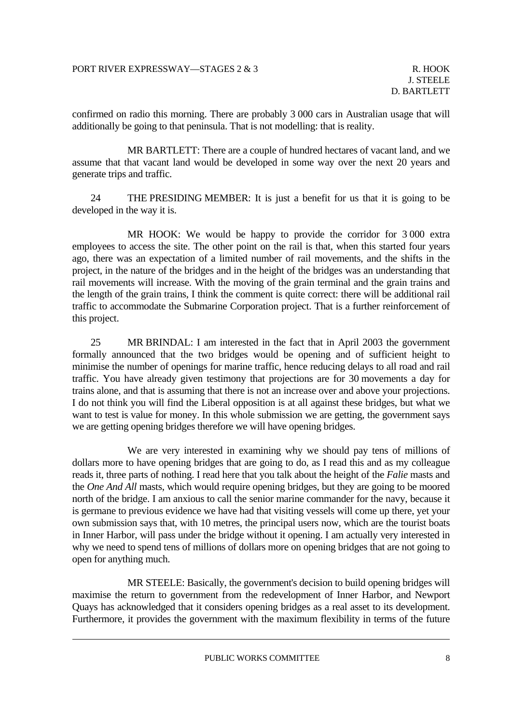confirmed on radio this morning. There are probably 3 000 cars in Australian usage that will additionally be going to that peninsula. That is not modelling: that is reality.

 MR BARTLETT: There are a couple of hundred hectares of vacant land, and we assume that that vacant land would be developed in some way over the next 20 years and generate trips and traffic.

 24 THE PRESIDING MEMBER: It is just a benefit for us that it is going to be developed in the way it is.

 MR HOOK: We would be happy to provide the corridor for 3 000 extra employees to access the site. The other point on the rail is that, when this started four years ago, there was an expectation of a limited number of rail movements, and the shifts in the project, in the nature of the bridges and in the height of the bridges was an understanding that rail movements will increase. With the moving of the grain terminal and the grain trains and the length of the grain trains, I think the comment is quite correct: there will be additional rail traffic to accommodate the Submarine Corporation project. That is a further reinforcement of this project.

 25 MR BRINDAL: I am interested in the fact that in April 2003 the government formally announced that the two bridges would be opening and of sufficient height to minimise the number of openings for marine traffic, hence reducing delays to all road and rail traffic. You have already given testimony that projections are for 30 movements a day for trains alone, and that is assuming that there is not an increase over and above your projections. I do not think you will find the Liberal opposition is at all against these bridges, but what we want to test is value for money. In this whole submission we are getting, the government says we are getting opening bridges therefore we will have opening bridges.

 We are very interested in examining why we should pay tens of millions of dollars more to have opening bridges that are going to do, as I read this and as my colleague reads it, three parts of nothing. I read here that you talk about the height of the *Falie* masts and the *One And All* masts, which would require opening bridges, but they are going to be moored north of the bridge. I am anxious to call the senior marine commander for the navy, because it is germane to previous evidence we have had that visiting vessels will come up there, yet your own submission says that, with 10 metres, the principal users now, which are the tourist boats in Inner Harbor, will pass under the bridge without it opening. I am actually very interested in why we need to spend tens of millions of dollars more on opening bridges that are not going to open for anything much.

 MR STEELE: Basically, the government's decision to build opening bridges will maximise the return to government from the redevelopment of Inner Harbor, and Newport Quays has acknowledged that it considers opening bridges as a real asset to its development. Furthermore, it provides the government with the maximum flexibility in terms of the future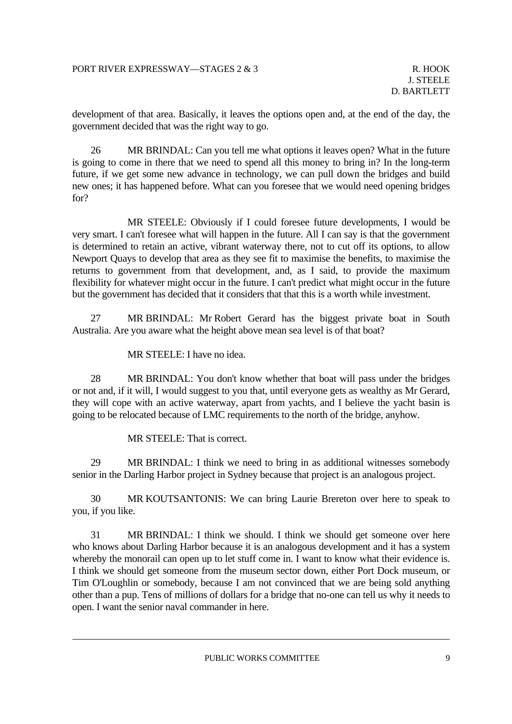development of that area. Basically, it leaves the options open and, at the end of the day, the government decided that was the right way to go.

 26 MR BRINDAL: Can you tell me what options it leaves open? What in the future is going to come in there that we need to spend all this money to bring in? In the long-term future, if we get some new advance in technology, we can pull down the bridges and build new ones; it has happened before. What can you foresee that we would need opening bridges for?

 MR STEELE: Obviously if I could foresee future developments, I would be very smart. I can't foresee what will happen in the future. All I can say is that the government is determined to retain an active, vibrant waterway there, not to cut off its options, to allow Newport Quays to develop that area as they see fit to maximise the benefits, to maximise the returns to government from that development, and, as I said, to provide the maximum flexibility for whatever might occur in the future. I can't predict what might occur in the future but the government has decided that it considers that that this is a worth while investment.

 27 MR BRINDAL: Mr Robert Gerard has the biggest private boat in South Australia. Are you aware what the height above mean sea level is of that boat?

MR STEELE: I have no idea.

 28 MR BRINDAL: You don't know whether that boat will pass under the bridges or not and, if it will, I would suggest to you that, until everyone gets as wealthy as Mr Gerard, they will cope with an active waterway, apart from yachts, and I believe the yacht basin is going to be relocated because of LMC requirements to the north of the bridge, anyhow.

MR STEELE: That is correct.

 29 MR BRINDAL: I think we need to bring in as additional witnesses somebody senior in the Darling Harbor project in Sydney because that project is an analogous project.

 30 MR KOUTSANTONIS: We can bring Laurie Brereton over here to speak to you, if you like.

 31 MR BRINDAL: I think we should. I think we should get someone over here who knows about Darling Harbor because it is an analogous development and it has a system whereby the monorail can open up to let stuff come in. I want to know what their evidence is. I think we should get someone from the museum sector down, either Port Dock museum, or Tim O'Loughlin or somebody, because I am not convinced that we are being sold anything other than a pup. Tens of millions of dollars for a bridge that no-one can tell us why it needs to open. I want the senior naval commander in here.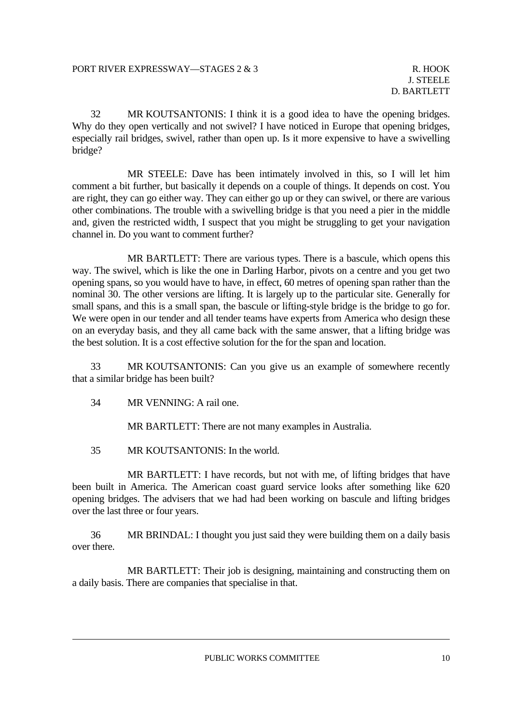32 MR KOUTSANTONIS: I think it is a good idea to have the opening bridges. Why do they open vertically and not swivel? I have noticed in Europe that opening bridges, especially rail bridges, swivel, rather than open up. Is it more expensive to have a swivelling bridge?

 MR STEELE: Dave has been intimately involved in this, so I will let him comment a bit further, but basically it depends on a couple of things. It depends on cost. You are right, they can go either way. They can either go up or they can swivel, or there are various other combinations. The trouble with a swivelling bridge is that you need a pier in the middle and, given the restricted width, I suspect that you might be struggling to get your navigation channel in. Do you want to comment further?

 MR BARTLETT: There are various types. There is a bascule, which opens this way. The swivel, which is like the one in Darling Harbor, pivots on a centre and you get two opening spans, so you would have to have, in effect, 60 metres of opening span rather than the nominal 30. The other versions are lifting. It is largely up to the particular site. Generally for small spans, and this is a small span, the bascule or lifting-style bridge is the bridge to go for. We were open in our tender and all tender teams have experts from America who design these on an everyday basis, and they all came back with the same answer, that a lifting bridge was the best solution. It is a cost effective solution for the for the span and location.

 33 MR KOUTSANTONIS: Can you give us an example of somewhere recently that a similar bridge has been built?

34 MR VENNING: A rail one.

MR BARTLETT: There are not many examples in Australia.

35 MR KOUTSANTONIS: In the world.

 MR BARTLETT: I have records, but not with me, of lifting bridges that have been built in America. The American coast guard service looks after something like 620 opening bridges. The advisers that we had had been working on bascule and lifting bridges over the last three or four years.

 36 MR BRINDAL: I thought you just said they were building them on a daily basis over there.

 MR BARTLETT: Their job is designing, maintaining and constructing them on a daily basis. There are companies that specialise in that.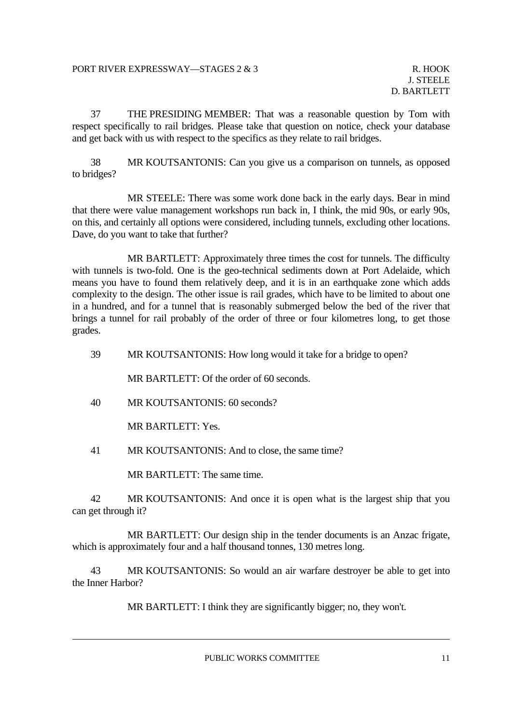37 THE PRESIDING MEMBER: That was a reasonable question by Tom with respect specifically to rail bridges. Please take that question on notice, check your database and get back with us with respect to the specifics as they relate to rail bridges.

 38 MR KOUTSANTONIS: Can you give us a comparison on tunnels, as opposed to bridges?

 MR STEELE: There was some work done back in the early days. Bear in mind that there were value management workshops run back in, I think, the mid 90s, or early 90s, on this, and certainly all options were considered, including tunnels, excluding other locations. Dave, do you want to take that further?

 MR BARTLETT: Approximately three times the cost for tunnels. The difficulty with tunnels is two-fold. One is the geo-technical sediments down at Port Adelaide, which means you have to found them relatively deep, and it is in an earthquake zone which adds complexity to the design. The other issue is rail grades, which have to be limited to about one in a hundred, and for a tunnel that is reasonably submerged below the bed of the river that brings a tunnel for rail probably of the order of three or four kilometres long, to get those grades.

39 MR KOUTSANTONIS: How long would it take for a bridge to open?

MR BARTLETT: Of the order of 60 seconds.

40 MR KOUTSANTONIS: 60 seconds?

MR BARTLETT: Yes.

41 MR KOUTSANTONIS: And to close, the same time?

MR BARTLETT: The same time.

42 MR KOUTSANTONIS: And once it is open what is the largest ship that you can get through it?

 MR BARTLETT: Our design ship in the tender documents is an Anzac frigate, which is approximately four and a half thousand tonnes, 130 metres long.

 43 MR KOUTSANTONIS: So would an air warfare destroyer be able to get into the Inner Harbor?

MR BARTLETT: I think they are significantly bigger; no, they won't.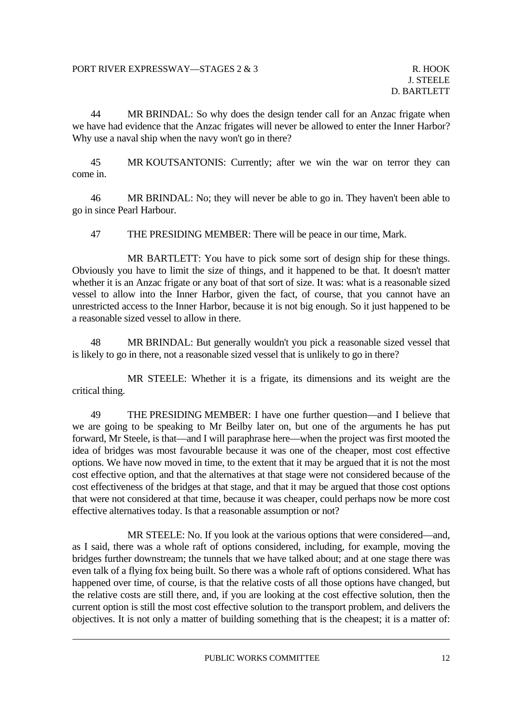44 MR BRINDAL: So why does the design tender call for an Anzac frigate when we have had evidence that the Anzac frigates will never be allowed to enter the Inner Harbor? Why use a naval ship when the navy won't go in there?

 45 MR KOUTSANTONIS: Currently; after we win the war on terror they can come in.

 46 MR BRINDAL: No; they will never be able to go in. They haven't been able to go in since Pearl Harbour.

47 THE PRESIDING MEMBER: There will be peace in our time, Mark.

 MR BARTLETT: You have to pick some sort of design ship for these things. Obviously you have to limit the size of things, and it happened to be that. It doesn't matter whether it is an Anzac frigate or any boat of that sort of size. It was: what is a reasonable sized vessel to allow into the Inner Harbor, given the fact, of course, that you cannot have an unrestricted access to the Inner Harbor, because it is not big enough. So it just happened to be a reasonable sized vessel to allow in there.

 48 MR BRINDAL: But generally wouldn't you pick a reasonable sized vessel that is likely to go in there, not a reasonable sized vessel that is unlikely to go in there?

 MR STEELE: Whether it is a frigate, its dimensions and its weight are the critical thing.

 49 THE PRESIDING MEMBER: I have one further question—and I believe that we are going to be speaking to Mr Beilby later on, but one of the arguments he has put forward, Mr Steele, is that—and I will paraphrase here—when the project was first mooted the idea of bridges was most favourable because it was one of the cheaper, most cost effective options. We have now moved in time, to the extent that it may be argued that it is not the most cost effective option, and that the alternatives at that stage were not considered because of the cost effectiveness of the bridges at that stage, and that it may be argued that those cost options that were not considered at that time, because it was cheaper, could perhaps now be more cost effective alternatives today. Is that a reasonable assumption or not?

 MR STEELE: No. If you look at the various options that were considered—and, as I said, there was a whole raft of options considered, including, for example, moving the bridges further downstream; the tunnels that we have talked about; and at one stage there was even talk of a flying fox being built. So there was a whole raft of options considered. What has happened over time, of course, is that the relative costs of all those options have changed, but the relative costs are still there, and, if you are looking at the cost effective solution, then the current option is still the most cost effective solution to the transport problem, and delivers the objectives. It is not only a matter of building something that is the cheapest; it is a matter of: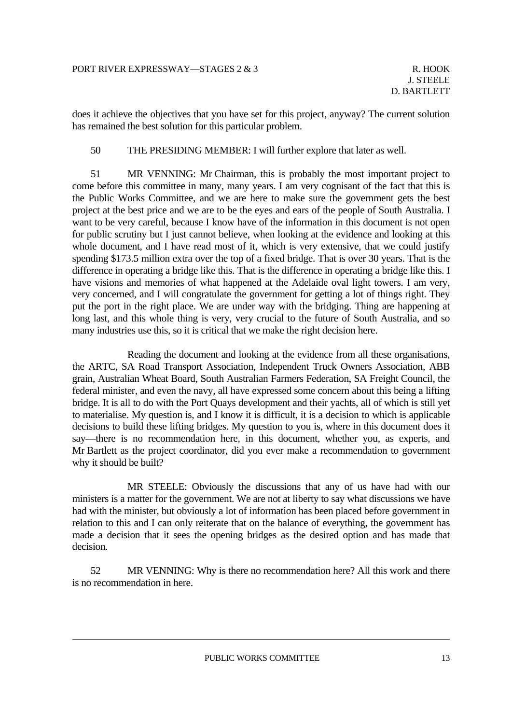does it achieve the objectives that you have set for this project, anyway? The current solution has remained the best solution for this particular problem.

50 THE PRESIDING MEMBER: I will further explore that later as well.

 51 MR VENNING: Mr Chairman, this is probably the most important project to come before this committee in many, many years. I am very cognisant of the fact that this is the Public Works Committee, and we are here to make sure the government gets the best project at the best price and we are to be the eyes and ears of the people of South Australia. I want to be very careful, because I know have of the information in this document is not open for public scrutiny but I just cannot believe, when looking at the evidence and looking at this whole document, and I have read most of it, which is very extensive, that we could justify spending \$173.5 million extra over the top of a fixed bridge. That is over 30 years. That is the difference in operating a bridge like this. That is the difference in operating a bridge like this. I have visions and memories of what happened at the Adelaide oval light towers. I am very, very concerned, and I will congratulate the government for getting a lot of things right. They put the port in the right place. We are under way with the bridging. Thing are happening at long last, and this whole thing is very, very crucial to the future of South Australia, and so many industries use this, so it is critical that we make the right decision here.

 Reading the document and looking at the evidence from all these organisations, the ARTC, SA Road Transport Association, Independent Truck Owners Association, ABB grain, Australian Wheat Board, South Australian Farmers Federation, SA Freight Council, the federal minister, and even the navy, all have expressed some concern about this being a lifting bridge. It is all to do with the Port Quays development and their yachts, all of which is still yet to materialise. My question is, and I know it is difficult, it is a decision to which is applicable decisions to build these lifting bridges. My question to you is, where in this document does it say—there is no recommendation here, in this document, whether you, as experts, and Mr Bartlett as the project coordinator, did you ever make a recommendation to government why it should be built?

 MR STEELE: Obviously the discussions that any of us have had with our ministers is a matter for the government. We are not at liberty to say what discussions we have had with the minister, but obviously a lot of information has been placed before government in relation to this and I can only reiterate that on the balance of everything, the government has made a decision that it sees the opening bridges as the desired option and has made that decision.

 52 MR VENNING: Why is there no recommendation here? All this work and there is no recommendation in here.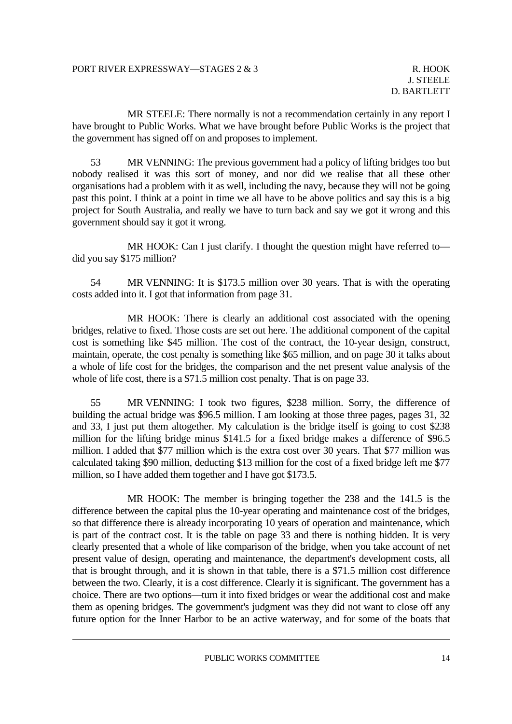MR STEELE: There normally is not a recommendation certainly in any report I have brought to Public Works. What we have brought before Public Works is the project that the government has signed off on and proposes to implement.

 53 MR VENNING: The previous government had a policy of lifting bridges too but nobody realised it was this sort of money, and nor did we realise that all these other organisations had a problem with it as well, including the navy, because they will not be going past this point. I think at a point in time we all have to be above politics and say this is a big project for South Australia, and really we have to turn back and say we got it wrong and this government should say it got it wrong.

MR HOOK: Can I just clarify. I thought the question might have referred todid you say \$175 million?

 54 MR VENNING: It is \$173.5 million over 30 years. That is with the operating costs added into it. I got that information from page 31.

 MR HOOK: There is clearly an additional cost associated with the opening bridges, relative to fixed. Those costs are set out here. The additional component of the capital cost is something like \$45 million. The cost of the contract, the 10-year design, construct, maintain, operate, the cost penalty is something like \$65 million, and on page 30 it talks about a whole of life cost for the bridges, the comparison and the net present value analysis of the whole of life cost, there is a \$71.5 million cost penalty. That is on page 33.

 55 MR VENNING: I took two figures, \$238 million. Sorry, the difference of building the actual bridge was \$96.5 million. I am looking at those three pages, pages 31, 32 and 33, I just put them altogether. My calculation is the bridge itself is going to cost \$238 million for the lifting bridge minus \$141.5 for a fixed bridge makes a difference of \$96.5 million. I added that \$77 million which is the extra cost over 30 years. That \$77 million was calculated taking \$90 million, deducting \$13 million for the cost of a fixed bridge left me \$77 million, so I have added them together and I have got \$173.5.

 MR HOOK: The member is bringing together the 238 and the 141.5 is the difference between the capital plus the 10-year operating and maintenance cost of the bridges, so that difference there is already incorporating 10 years of operation and maintenance, which is part of the contract cost. It is the table on page 33 and there is nothing hidden. It is very clearly presented that a whole of like comparison of the bridge, when you take account of net present value of design, operating and maintenance, the department's development costs, all that is brought through, and it is shown in that table, there is a \$71.5 million cost difference between the two. Clearly, it is a cost difference. Clearly it is significant. The government has a choice. There are two options—turn it into fixed bridges or wear the additional cost and make them as opening bridges. The government's judgment was they did not want to close off any future option for the Inner Harbor to be an active waterway, and for some of the boats that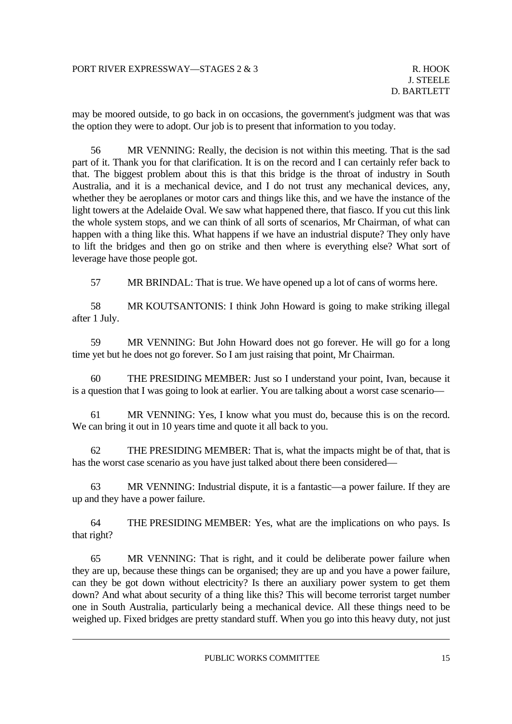may be moored outside, to go back in on occasions, the government's judgment was that was the option they were to adopt. Our job is to present that information to you today.

 56 MR VENNING: Really, the decision is not within this meeting. That is the sad part of it. Thank you for that clarification. It is on the record and I can certainly refer back to that. The biggest problem about this is that this bridge is the throat of industry in South Australia, and it is a mechanical device, and I do not trust any mechanical devices, any, whether they be aeroplanes or motor cars and things like this, and we have the instance of the light towers at the Adelaide Oval. We saw what happened there, that fiasco. If you cut this link the whole system stops, and we can think of all sorts of scenarios, Mr Chairman, of what can happen with a thing like this. What happens if we have an industrial dispute? They only have to lift the bridges and then go on strike and then where is everything else? What sort of leverage have those people got.

57 MR BRINDAL: That is true. We have opened up a lot of cans of worms here.

 58 MR KOUTSANTONIS: I think John Howard is going to make striking illegal after 1 July.

 59 MR VENNING: But John Howard does not go forever. He will go for a long time yet but he does not go forever. So I am just raising that point, Mr Chairman.

 60 THE PRESIDING MEMBER: Just so I understand your point, Ivan, because it is a question that I was going to look at earlier. You are talking about a worst case scenario—

 61 MR VENNING: Yes, I know what you must do, because this is on the record. We can bring it out in 10 years time and quote it all back to you.

 62 THE PRESIDING MEMBER: That is, what the impacts might be of that, that is has the worst case scenario as you have just talked about there been considered—

 63 MR VENNING: Industrial dispute, it is a fantastic—a power failure. If they are up and they have a power failure.

 64 THE PRESIDING MEMBER: Yes, what are the implications on who pays. Is that right?

 65 MR VENNING: That is right, and it could be deliberate power failure when they are up, because these things can be organised; they are up and you have a power failure, can they be got down without electricity? Is there an auxiliary power system to get them down? And what about security of a thing like this? This will become terrorist target number one in South Australia, particularly being a mechanical device. All these things need to be weighed up. Fixed bridges are pretty standard stuff. When you go into this heavy duty, not just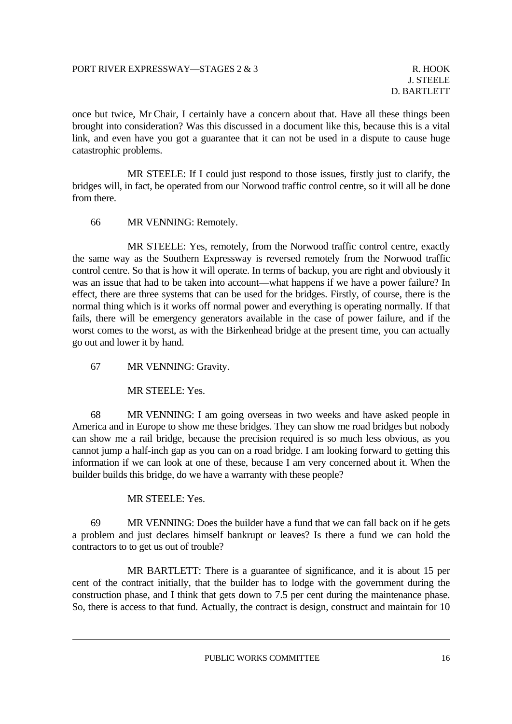once but twice, Mr Chair, I certainly have a concern about that. Have all these things been brought into consideration? Was this discussed in a document like this, because this is a vital link, and even have you got a guarantee that it can not be used in a dispute to cause huge catastrophic problems.

 MR STEELE: If I could just respond to those issues, firstly just to clarify, the bridges will, in fact, be operated from our Norwood traffic control centre, so it will all be done from there.

66 MR VENNING: Remotely.

 MR STEELE: Yes, remotely, from the Norwood traffic control centre, exactly the same way as the Southern Expressway is reversed remotely from the Norwood traffic control centre. So that is how it will operate. In terms of backup, you are right and obviously it was an issue that had to be taken into account—what happens if we have a power failure? In effect, there are three systems that can be used for the bridges. Firstly, of course, there is the normal thing which is it works off normal power and everything is operating normally. If that fails, there will be emergency generators available in the case of power failure, and if the worst comes to the worst, as with the Birkenhead bridge at the present time, you can actually go out and lower it by hand.

67 MR VENNING: Gravity.

MR STEELE: Yes.

 68 MR VENNING: I am going overseas in two weeks and have asked people in America and in Europe to show me these bridges. They can show me road bridges but nobody can show me a rail bridge, because the precision required is so much less obvious, as you cannot jump a half-inch gap as you can on a road bridge. I am looking forward to getting this information if we can look at one of these, because I am very concerned about it. When the builder builds this bridge, do we have a warranty with these people?

#### MR STEELE: Yes.

 69 MR VENNING: Does the builder have a fund that we can fall back on if he gets a problem and just declares himself bankrupt or leaves? Is there a fund we can hold the contractors to to get us out of trouble?

 MR BARTLETT: There is a guarantee of significance, and it is about 15 per cent of the contract initially, that the builder has to lodge with the government during the construction phase, and I think that gets down to 7.5 per cent during the maintenance phase. So, there is access to that fund. Actually, the contract is design, construct and maintain for 10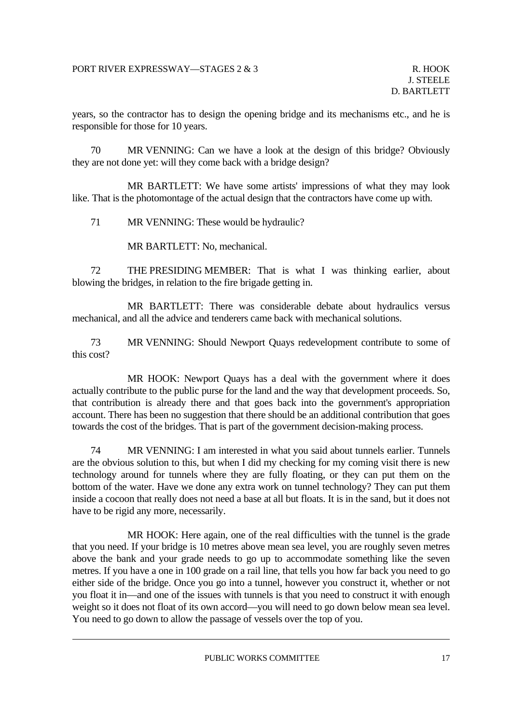years, so the contractor has to design the opening bridge and its mechanisms etc., and he is responsible for those for 10 years.

 70 MR VENNING: Can we have a look at the design of this bridge? Obviously they are not done yet: will they come back with a bridge design?

 MR BARTLETT: We have some artists' impressions of what they may look like. That is the photomontage of the actual design that the contractors have come up with.

71 MR VENNING: These would be hydraulic?

MR BARTLETT: No, mechanical.

 72 THE PRESIDING MEMBER: That is what I was thinking earlier, about blowing the bridges, in relation to the fire brigade getting in.

 MR BARTLETT: There was considerable debate about hydraulics versus mechanical, and all the advice and tenderers came back with mechanical solutions.

 73 MR VENNING: Should Newport Quays redevelopment contribute to some of this cost?

 MR HOOK: Newport Quays has a deal with the government where it does actually contribute to the public purse for the land and the way that development proceeds. So, that contribution is already there and that goes back into the government's appropriation account. There has been no suggestion that there should be an additional contribution that goes towards the cost of the bridges. That is part of the government decision-making process.

 74 MR VENNING: I am interested in what you said about tunnels earlier. Tunnels are the obvious solution to this, but when I did my checking for my coming visit there is new technology around for tunnels where they are fully floating, or they can put them on the bottom of the water. Have we done any extra work on tunnel technology? They can put them inside a cocoon that really does not need a base at all but floats. It is in the sand, but it does not have to be rigid any more, necessarily.

 MR HOOK: Here again, one of the real difficulties with the tunnel is the grade that you need. If your bridge is 10 metres above mean sea level, you are roughly seven metres above the bank and your grade needs to go up to accommodate something like the seven metres. If you have a one in 100 grade on a rail line, that tells you how far back you need to go either side of the bridge. Once you go into a tunnel, however you construct it, whether or not you float it in—and one of the issues with tunnels is that you need to construct it with enough weight so it does not float of its own accord—you will need to go down below mean sea level. You need to go down to allow the passage of vessels over the top of you.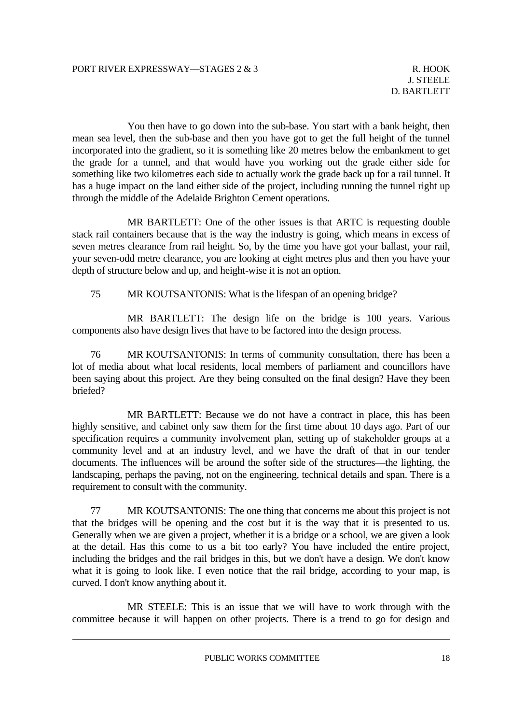You then have to go down into the sub-base. You start with a bank height, then mean sea level, then the sub-base and then you have got to get the full height of the tunnel incorporated into the gradient, so it is something like 20 metres below the embankment to get the grade for a tunnel, and that would have you working out the grade either side for something like two kilometres each side to actually work the grade back up for a rail tunnel. It has a huge impact on the land either side of the project, including running the tunnel right up through the middle of the Adelaide Brighton Cement operations.

 MR BARTLETT: One of the other issues is that ARTC is requesting double stack rail containers because that is the way the industry is going, which means in excess of seven metres clearance from rail height. So, by the time you have got your ballast, your rail, your seven-odd metre clearance, you are looking at eight metres plus and then you have your depth of structure below and up, and height-wise it is not an option.

75 MR KOUTSANTONIS: What is the lifespan of an opening bridge?

 MR BARTLETT: The design life on the bridge is 100 years. Various components also have design lives that have to be factored into the design process.

 76 MR KOUTSANTONIS: In terms of community consultation, there has been a lot of media about what local residents, local members of parliament and councillors have been saying about this project. Are they being consulted on the final design? Have they been briefed?

 MR BARTLETT: Because we do not have a contract in place, this has been highly sensitive, and cabinet only saw them for the first time about 10 days ago. Part of our specification requires a community involvement plan, setting up of stakeholder groups at a community level and at an industry level, and we have the draft of that in our tender documents. The influences will be around the softer side of the structures—the lighting, the landscaping, perhaps the paving, not on the engineering, technical details and span. There is a requirement to consult with the community.

 77 MR KOUTSANTONIS: The one thing that concerns me about this project is not that the bridges will be opening and the cost but it is the way that it is presented to us. Generally when we are given a project, whether it is a bridge or a school, we are given a look at the detail. Has this come to us a bit too early? You have included the entire project, including the bridges and the rail bridges in this, but we don't have a design. We don't know what it is going to look like. I even notice that the rail bridge, according to your map, is curved. I don't know anything about it.

 MR STEELE: This is an issue that we will have to work through with the committee because it will happen on other projects. There is a trend to go for design and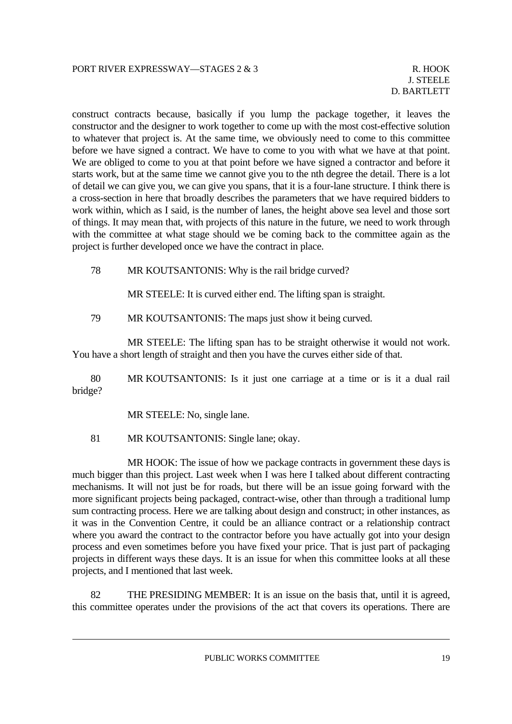construct contracts because, basically if you lump the package together, it leaves the constructor and the designer to work together to come up with the most cost-effective solution to whatever that project is. At the same time, we obviously need to come to this committee before we have signed a contract. We have to come to you with what we have at that point. We are obliged to come to you at that point before we have signed a contractor and before it starts work, but at the same time we cannot give you to the nth degree the detail. There is a lot of detail we can give you, we can give you spans, that it is a four-lane structure. I think there is a cross-section in here that broadly describes the parameters that we have required bidders to work within, which as I said, is the number of lanes, the height above sea level and those sort of things. It may mean that, with projects of this nature in the future, we need to work through with the committee at what stage should we be coming back to the committee again as the project is further developed once we have the contract in place.

78 MR KOUTSANTONIS: Why is the rail bridge curved?

MR STEELE: It is curved either end. The lifting span is straight.

79 MR KOUTSANTONIS: The maps just show it being curved.

 MR STEELE: The lifting span has to be straight otherwise it would not work. You have a short length of straight and then you have the curves either side of that.

 80 MR KOUTSANTONIS: Is it just one carriage at a time or is it a dual rail bridge?

MR STEELE: No, single lane.

81 MR KOUTSANTONIS: Single lane; okay.

 MR HOOK: The issue of how we package contracts in government these days is much bigger than this project. Last week when I was here I talked about different contracting mechanisms. It will not just be for roads, but there will be an issue going forward with the more significant projects being packaged, contract-wise, other than through a traditional lump sum contracting process. Here we are talking about design and construct; in other instances, as it was in the Convention Centre, it could be an alliance contract or a relationship contract where you award the contract to the contractor before you have actually got into your design process and even sometimes before you have fixed your price. That is just part of packaging projects in different ways these days. It is an issue for when this committee looks at all these projects, and I mentioned that last week.

 82 THE PRESIDING MEMBER: It is an issue on the basis that, until it is agreed, this committee operates under the provisions of the act that covers its operations. There are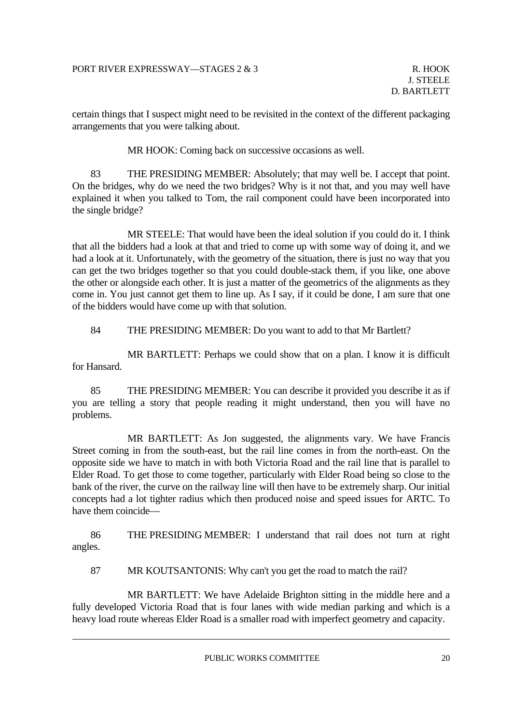certain things that I suspect might need to be revisited in the context of the different packaging arrangements that you were talking about.

MR HOOK: Coming back on successive occasions as well.

 83 THE PRESIDING MEMBER: Absolutely; that may well be. I accept that point. On the bridges, why do we need the two bridges? Why is it not that, and you may well have explained it when you talked to Tom, the rail component could have been incorporated into the single bridge?

 MR STEELE: That would have been the ideal solution if you could do it. I think that all the bidders had a look at that and tried to come up with some way of doing it, and we had a look at it. Unfortunately, with the geometry of the situation, there is just no way that you can get the two bridges together so that you could double-stack them, if you like, one above the other or alongside each other. It is just a matter of the geometrics of the alignments as they come in. You just cannot get them to line up. As I say, if it could be done, I am sure that one of the bidders would have come up with that solution.

84 THE PRESIDING MEMBER: Do you want to add to that Mr Bartlett?

 MR BARTLETT: Perhaps we could show that on a plan. I know it is difficult for Hansard.

 85 THE PRESIDING MEMBER: You can describe it provided you describe it as if you are telling a story that people reading it might understand, then you will have no problems.

 MR BARTLETT: As Jon suggested, the alignments vary. We have Francis Street coming in from the south-east, but the rail line comes in from the north-east. On the opposite side we have to match in with both Victoria Road and the rail line that is parallel to Elder Road. To get those to come together, particularly with Elder Road being so close to the bank of the river, the curve on the railway line will then have to be extremely sharp. Our initial concepts had a lot tighter radius which then produced noise and speed issues for ARTC. To have them coincide—

 86 THE PRESIDING MEMBER: I understand that rail does not turn at right angles.

87 MR KOUTSANTONIS: Why can't you get the road to match the rail?

 MR BARTLETT: We have Adelaide Brighton sitting in the middle here and a fully developed Victoria Road that is four lanes with wide median parking and which is a heavy load route whereas Elder Road is a smaller road with imperfect geometry and capacity.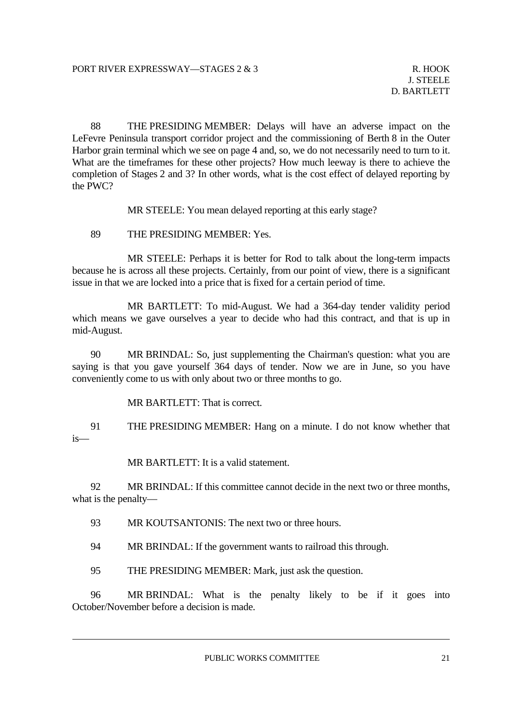88 THE PRESIDING MEMBER: Delays will have an adverse impact on the LeFevre Peninsula transport corridor project and the commissioning of Berth 8 in the Outer Harbor grain terminal which we see on page 4 and, so, we do not necessarily need to turn to it. What are the timeframes for these other projects? How much leeway is there to achieve the completion of Stages 2 and 3? In other words, what is the cost effect of delayed reporting by the PWC?

MR STEELE: You mean delayed reporting at this early stage?

89 THE PRESIDING MEMBER: Yes.

 MR STEELE: Perhaps it is better for Rod to talk about the long-term impacts because he is across all these projects. Certainly, from our point of view, there is a significant issue in that we are locked into a price that is fixed for a certain period of time.

 MR BARTLETT: To mid-August. We had a 364-day tender validity period which means we gave ourselves a year to decide who had this contract, and that is up in mid-August.

 90 MR BRINDAL: So, just supplementing the Chairman's question: what you are saying is that you gave yourself 364 days of tender. Now we are in June, so you have conveniently come to us with only about two or three months to go.

MR BARTLETT: That is correct.

 91 THE PRESIDING MEMBER: Hang on a minute. I do not know whether that is—

MR BARTLETT: It is a valid statement.

 92 MR BRINDAL: If this committee cannot decide in the next two or three months, what is the penalty—

93 MR KOUTSANTONIS: The next two or three hours.

94 MR BRINDAL: If the government wants to railroad this through.

95 THE PRESIDING MEMBER: Mark, just ask the question.

 96 MR BRINDAL: What is the penalty likely to be if it goes into October/November before a decision is made.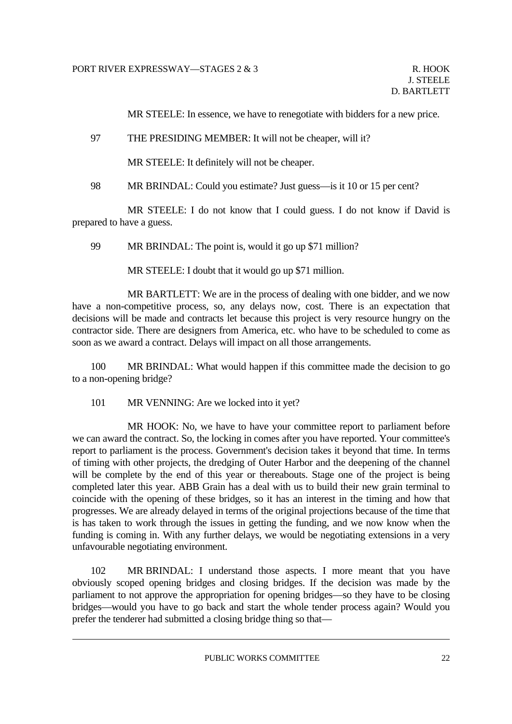MR STEELE: In essence, we have to renegotiate with bidders for a new price.

#### 97 THE PRESIDING MEMBER: It will not be cheaper, will it?

MR STEELE: It definitely will not be cheaper.

98 MR BRINDAL: Could you estimate? Just guess—is it 10 or 15 per cent?

 MR STEELE: I do not know that I could guess. I do not know if David is prepared to have a guess.

99 MR BRINDAL: The point is, would it go up \$71 million?

MR STEELE: I doubt that it would go up \$71 million.

 MR BARTLETT: We are in the process of dealing with one bidder, and we now have a non-competitive process, so, any delays now, cost. There is an expectation that decisions will be made and contracts let because this project is very resource hungry on the contractor side. There are designers from America, etc. who have to be scheduled to come as soon as we award a contract. Delays will impact on all those arrangements.

 100 MR BRINDAL: What would happen if this committee made the decision to go to a non-opening bridge?

101 MR VENNING: Are we locked into it yet?

 MR HOOK: No, we have to have your committee report to parliament before we can award the contract. So, the locking in comes after you have reported. Your committee's report to parliament is the process. Government's decision takes it beyond that time. In terms of timing with other projects, the dredging of Outer Harbor and the deepening of the channel will be complete by the end of this year or thereabouts. Stage one of the project is being completed later this year. ABB Grain has a deal with us to build their new grain terminal to coincide with the opening of these bridges, so it has an interest in the timing and how that progresses. We are already delayed in terms of the original projections because of the time that is has taken to work through the issues in getting the funding, and we now know when the funding is coming in. With any further delays, we would be negotiating extensions in a very unfavourable negotiating environment.

 102 MR BRINDAL: I understand those aspects. I more meant that you have obviously scoped opening bridges and closing bridges. If the decision was made by the parliament to not approve the appropriation for opening bridges—so they have to be closing bridges—would you have to go back and start the whole tender process again? Would you prefer the tenderer had submitted a closing bridge thing so that—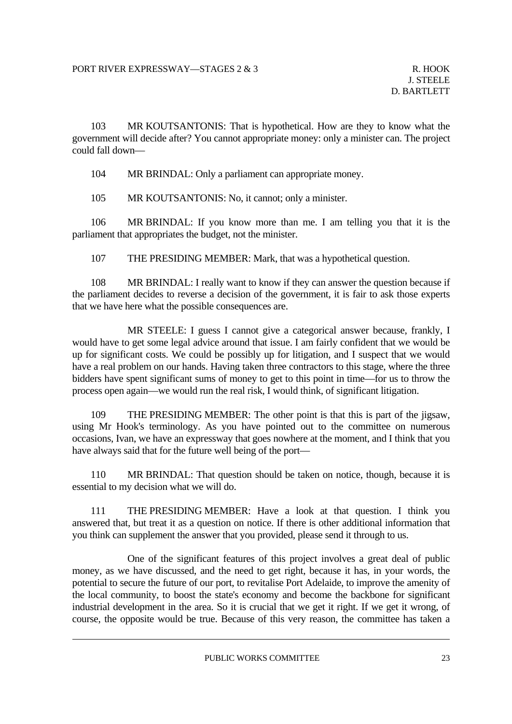103 MR KOUTSANTONIS: That is hypothetical. How are they to know what the government will decide after? You cannot appropriate money: only a minister can. The project could fall down—

104 MR BRINDAL: Only a parliament can appropriate money.

105 MR KOUTSANTONIS: No, it cannot; only a minister.

 106 MR BRINDAL: If you know more than me. I am telling you that it is the parliament that appropriates the budget, not the minister.

107 THE PRESIDING MEMBER: Mark, that was a hypothetical question.

 108 MR BRINDAL: I really want to know if they can answer the question because if the parliament decides to reverse a decision of the government, it is fair to ask those experts that we have here what the possible consequences are.

 MR STEELE: I guess I cannot give a categorical answer because, frankly, I would have to get some legal advice around that issue. I am fairly confident that we would be up for significant costs. We could be possibly up for litigation, and I suspect that we would have a real problem on our hands. Having taken three contractors to this stage, where the three bidders have spent significant sums of money to get to this point in time—for us to throw the process open again—we would run the real risk, I would think, of significant litigation.

 109 THE PRESIDING MEMBER: The other point is that this is part of the jigsaw, using Mr Hook's terminology. As you have pointed out to the committee on numerous occasions, Ivan, we have an expressway that goes nowhere at the moment, and I think that you have always said that for the future well being of the port—

 110 MR BRINDAL: That question should be taken on notice, though, because it is essential to my decision what we will do.

 111 THE PRESIDING MEMBER: Have a look at that question. I think you answered that, but treat it as a question on notice. If there is other additional information that you think can supplement the answer that you provided, please send it through to us.

 One of the significant features of this project involves a great deal of public money, as we have discussed, and the need to get right, because it has, in your words, the potential to secure the future of our port, to revitalise Port Adelaide, to improve the amenity of the local community, to boost the state's economy and become the backbone for significant industrial development in the area. So it is crucial that we get it right. If we get it wrong, of course, the opposite would be true. Because of this very reason, the committee has taken a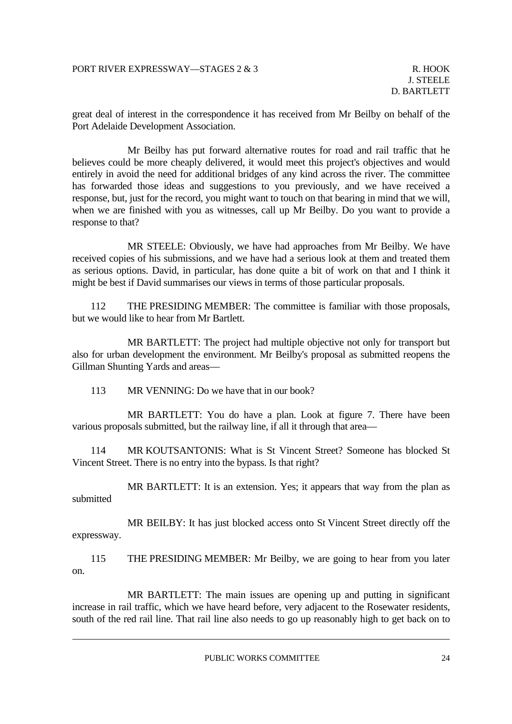great deal of interest in the correspondence it has received from Mr Beilby on behalf of the Port Adelaide Development Association.

 Mr Beilby has put forward alternative routes for road and rail traffic that he believes could be more cheaply delivered, it would meet this project's objectives and would entirely in avoid the need for additional bridges of any kind across the river. The committee has forwarded those ideas and suggestions to you previously, and we have received a response, but, just for the record, you might want to touch on that bearing in mind that we will, when we are finished with you as witnesses, call up Mr Beilby. Do you want to provide a response to that?

 MR STEELE: Obviously, we have had approaches from Mr Beilby. We have received copies of his submissions, and we have had a serious look at them and treated them as serious options. David, in particular, has done quite a bit of work on that and I think it might be best if David summarises our views in terms of those particular proposals.

 112 THE PRESIDING MEMBER: The committee is familiar with those proposals, but we would like to hear from Mr Bartlett.

 MR BARTLETT: The project had multiple objective not only for transport but also for urban development the environment. Mr Beilby's proposal as submitted reopens the Gillman Shunting Yards and areas—

113 MR VENNING: Do we have that in our book?

 MR BARTLETT: You do have a plan. Look at figure 7. There have been various proposals submitted, but the railway line, if all it through that area—

 114 MR KOUTSANTONIS: What is St Vincent Street? Someone has blocked St Vincent Street. There is no entry into the bypass. Is that right?

MR BARTLETT: It is an extension. Yes; it appears that way from the plan as submitted

 MR BEILBY: It has just blocked access onto St Vincent Street directly off the expressway.

 115 THE PRESIDING MEMBER: Mr Beilby, we are going to hear from you later on.

 MR BARTLETT: The main issues are opening up and putting in significant increase in rail traffic, which we have heard before, very adjacent to the Rosewater residents, south of the red rail line. That rail line also needs to go up reasonably high to get back on to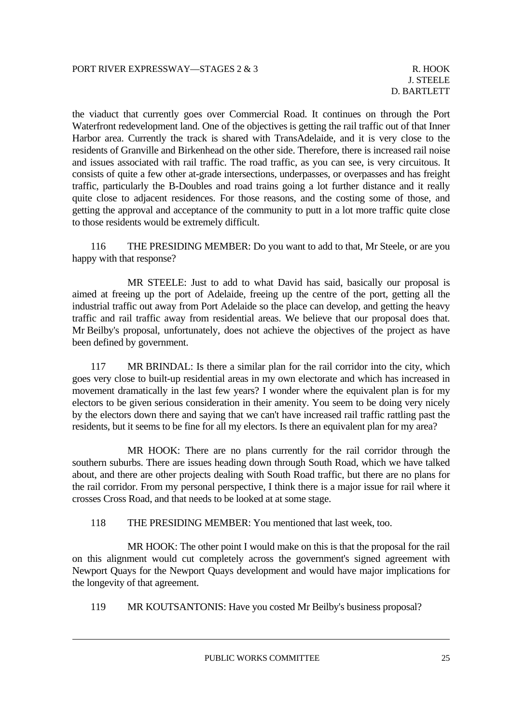the viaduct that currently goes over Commercial Road. It continues on through the Port Waterfront redevelopment land. One of the objectives is getting the rail traffic out of that Inner Harbor area. Currently the track is shared with TransAdelaide, and it is very close to the residents of Granville and Birkenhead on the other side. Therefore, there is increased rail noise and issues associated with rail traffic. The road traffic, as you can see, is very circuitous. It consists of quite a few other at-grade intersections, underpasses, or overpasses and has freight traffic, particularly the B-Doubles and road trains going a lot further distance and it really quite close to adjacent residences. For those reasons, and the costing some of those, and getting the approval and acceptance of the community to putt in a lot more traffic quite close to those residents would be extremely difficult.

 116 THE PRESIDING MEMBER: Do you want to add to that, Mr Steele, or are you happy with that response?

 MR STEELE: Just to add to what David has said, basically our proposal is aimed at freeing up the port of Adelaide, freeing up the centre of the port, getting all the industrial traffic out away from Port Adelaide so the place can develop, and getting the heavy traffic and rail traffic away from residential areas. We believe that our proposal does that. Mr Beilby's proposal, unfortunately, does not achieve the objectives of the project as have been defined by government.

 117 MR BRINDAL: Is there a similar plan for the rail corridor into the city, which goes very close to built-up residential areas in my own electorate and which has increased in movement dramatically in the last few years? I wonder where the equivalent plan is for my electors to be given serious consideration in their amenity. You seem to be doing very nicely by the electors down there and saying that we can't have increased rail traffic rattling past the residents, but it seems to be fine for all my electors. Is there an equivalent plan for my area?

 MR HOOK: There are no plans currently for the rail corridor through the southern suburbs. There are issues heading down through South Road, which we have talked about, and there are other projects dealing with South Road traffic, but there are no plans for the rail corridor. From my personal perspective, I think there is a major issue for rail where it crosses Cross Road, and that needs to be looked at at some stage.

118 THE PRESIDING MEMBER: You mentioned that last week, too.

 MR HOOK: The other point I would make on this is that the proposal for the rail on this alignment would cut completely across the government's signed agreement with Newport Quays for the Newport Quays development and would have major implications for the longevity of that agreement.

119 MR KOUTSANTONIS: Have you costed Mr Beilby's business proposal?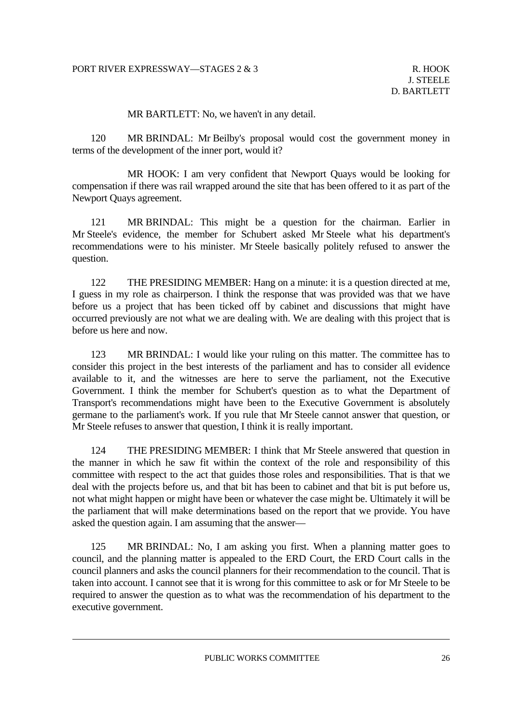MR BARTLETT: No, we haven't in any detail.

 120 MR BRINDAL: Mr Beilby's proposal would cost the government money in terms of the development of the inner port, would it?

 MR HOOK: I am very confident that Newport Quays would be looking for compensation if there was rail wrapped around the site that has been offered to it as part of the Newport Quays agreement.

 121 MR BRINDAL: This might be a question for the chairman. Earlier in Mr Steele's evidence, the member for Schubert asked Mr Steele what his department's recommendations were to his minister. Mr Steele basically politely refused to answer the question.

 122 THE PRESIDING MEMBER: Hang on a minute: it is a question directed at me, I guess in my role as chairperson. I think the response that was provided was that we have before us a project that has been ticked off by cabinet and discussions that might have occurred previously are not what we are dealing with. We are dealing with this project that is before us here and now.

123 MR BRINDAL: I would like your ruling on this matter. The committee has to consider this project in the best interests of the parliament and has to consider all evidence available to it, and the witnesses are here to serve the parliament, not the Executive Government. I think the member for Schubert's question as to what the Department of Transport's recommendations might have been to the Executive Government is absolutely germane to the parliament's work. If you rule that Mr Steele cannot answer that question, or Mr Steele refuses to answer that question, I think it is really important.

 124 THE PRESIDING MEMBER: I think that Mr Steele answered that question in the manner in which he saw fit within the context of the role and responsibility of this committee with respect to the act that guides those roles and responsibilities. That is that we deal with the projects before us, and that bit has been to cabinet and that bit is put before us, not what might happen or might have been or whatever the case might be. Ultimately it will be the parliament that will make determinations based on the report that we provide. You have asked the question again. I am assuming that the answer—

 125 MR BRINDAL: No, I am asking you first. When a planning matter goes to council, and the planning matter is appealed to the ERD Court, the ERD Court calls in the council planners and asks the council planners for their recommendation to the council. That is taken into account. I cannot see that it is wrong for this committee to ask or for Mr Steele to be required to answer the question as to what was the recommendation of his department to the executive government.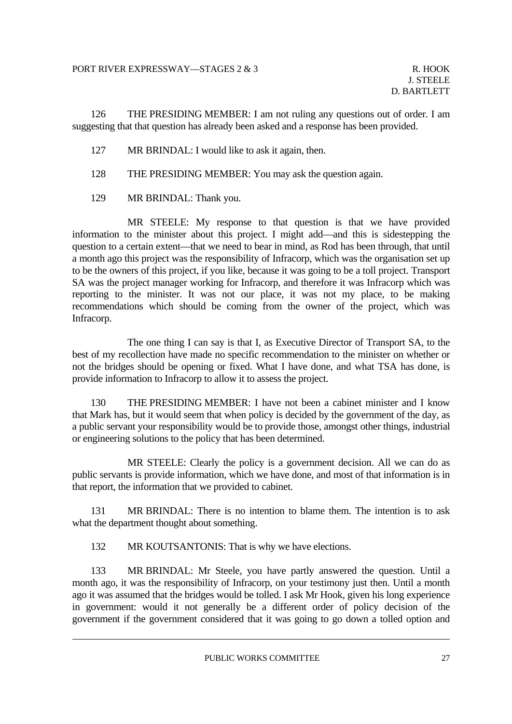126 THE PRESIDING MEMBER: I am not ruling any questions out of order. I am suggesting that that question has already been asked and a response has been provided.

- 127 MR BRINDAL: I would like to ask it again, then.
- 128 THE PRESIDING MEMBER: You may ask the question again.
- 129 MR BRINDAL: Thank you.

 MR STEELE: My response to that question is that we have provided information to the minister about this project. I might add—and this is sidestepping the question to a certain extent—that we need to bear in mind, as Rod has been through, that until a month ago this project was the responsibility of Infracorp, which was the organisation set up to be the owners of this project, if you like, because it was going to be a toll project. Transport SA was the project manager working for Infracorp, and therefore it was Infracorp which was reporting to the minister. It was not our place, it was not my place, to be making recommendations which should be coming from the owner of the project, which was Infracorp.

 The one thing I can say is that I, as Executive Director of Transport SA, to the best of my recollection have made no specific recommendation to the minister on whether or not the bridges should be opening or fixed. What I have done, and what TSA has done, is provide information to Infracorp to allow it to assess the project.

 130 THE PRESIDING MEMBER: I have not been a cabinet minister and I know that Mark has, but it would seem that when policy is decided by the government of the day, as a public servant your responsibility would be to provide those, amongst other things, industrial or engineering solutions to the policy that has been determined.

 MR STEELE: Clearly the policy is a government decision. All we can do as public servants is provide information, which we have done, and most of that information is in that report, the information that we provided to cabinet.

 131 MR BRINDAL: There is no intention to blame them. The intention is to ask what the department thought about something.

132 MR KOUTSANTONIS: That is why we have elections.

 133 MR BRINDAL: Mr Steele, you have partly answered the question. Until a month ago, it was the responsibility of Infracorp, on your testimony just then. Until a month ago it was assumed that the bridges would be tolled. I ask Mr Hook, given his long experience in government: would it not generally be a different order of policy decision of the government if the government considered that it was going to go down a tolled option and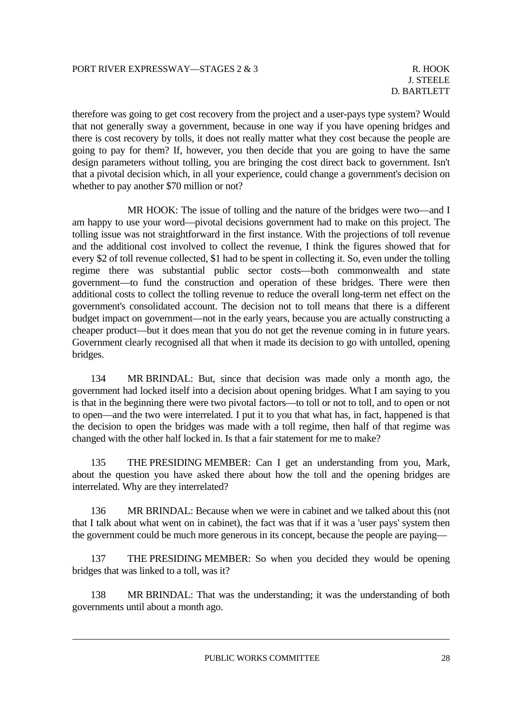therefore was going to get cost recovery from the project and a user-pays type system? Would that not generally sway a government, because in one way if you have opening bridges and there is cost recovery by tolls, it does not really matter what they cost because the people are going to pay for them? If, however, you then decide that you are going to have the same design parameters without tolling, you are bringing the cost direct back to government. Isn't that a pivotal decision which, in all your experience, could change a government's decision on whether to pay another \$70 million or not?

 MR HOOK: The issue of tolling and the nature of the bridges were two—and I am happy to use your word—pivotal decisions government had to make on this project. The tolling issue was not straightforward in the first instance. With the projections of toll revenue and the additional cost involved to collect the revenue, I think the figures showed that for every \$2 of toll revenue collected, \$1 had to be spent in collecting it. So, even under the tolling regime there was substantial public sector costs—both commonwealth and state government—to fund the construction and operation of these bridges. There were then additional costs to collect the tolling revenue to reduce the overall long-term net effect on the government's consolidated account. The decision not to toll means that there is a different budget impact on government—not in the early years, because you are actually constructing a cheaper product—but it does mean that you do not get the revenue coming in in future years. Government clearly recognised all that when it made its decision to go with untolled, opening bridges.

 134 MR BRINDAL: But, since that decision was made only a month ago, the government had locked itself into a decision about opening bridges. What I am saying to you is that in the beginning there were two pivotal factors—to toll or not to toll, and to open or not to open—and the two were interrelated. I put it to you that what has, in fact, happened is that the decision to open the bridges was made with a toll regime, then half of that regime was changed with the other half locked in. Is that a fair statement for me to make?

 135 THE PRESIDING MEMBER: Can I get an understanding from you, Mark, about the question you have asked there about how the toll and the opening bridges are interrelated. Why are they interrelated?

 136 MR BRINDAL: Because when we were in cabinet and we talked about this (not that I talk about what went on in cabinet), the fact was that if it was a 'user pays' system then the government could be much more generous in its concept, because the people are paying—

 137 THE PRESIDING MEMBER: So when you decided they would be opening bridges that was linked to a toll, was it?

 138 MR BRINDAL: That was the understanding; it was the understanding of both governments until about a month ago.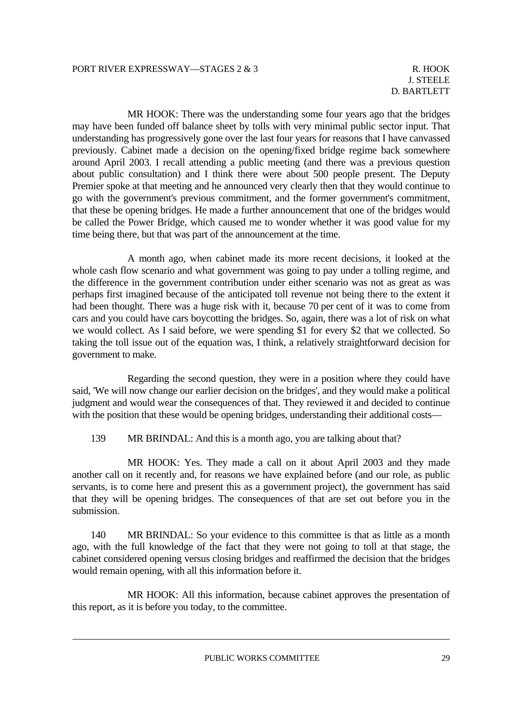MR HOOK: There was the understanding some four years ago that the bridges may have been funded off balance sheet by tolls with very minimal public sector input. That understanding has progressively gone over the last four years for reasons that I have canvassed previously. Cabinet made a decision on the opening/fixed bridge regime back somewhere around April 2003. I recall attending a public meeting (and there was a previous question about public consultation) and I think there were about 500 people present. The Deputy Premier spoke at that meeting and he announced very clearly then that they would continue to go with the government's previous commitment, and the former government's commitment, that these be opening bridges. He made a further announcement that one of the bridges would be called the Power Bridge, which caused me to wonder whether it was good value for my time being there, but that was part of the announcement at the time.

 A month ago, when cabinet made its more recent decisions, it looked at the whole cash flow scenario and what government was going to pay under a tolling regime, and the difference in the government contribution under either scenario was not as great as was perhaps first imagined because of the anticipated toll revenue not being there to the extent it had been thought. There was a huge risk with it, because 70 per cent of it was to come from cars and you could have cars boycotting the bridges. So, again, there was a lot of risk on what we would collect. As I said before, we were spending \$1 for every \$2 that we collected. So taking the toll issue out of the equation was, I think, a relatively straightforward decision for government to make.

 Regarding the second question, they were in a position where they could have said, 'We will now change our earlier decision on the bridges', and they would make a political judgment and would wear the consequences of that. They reviewed it and decided to continue with the position that these would be opening bridges, understanding their additional costs-

139 MR BRINDAL: And this is a month ago, you are talking about that?

 MR HOOK: Yes. They made a call on it about April 2003 and they made another call on it recently and, for reasons we have explained before (and our role, as public servants, is to come here and present this as a government project), the government has said that they will be opening bridges. The consequences of that are set out before you in the submission.

 140 MR BRINDAL: So your evidence to this committee is that as little as a month ago, with the full knowledge of the fact that they were not going to toll at that stage, the cabinet considered opening versus closing bridges and reaffirmed the decision that the bridges would remain opening, with all this information before it.

 MR HOOK: All this information, because cabinet approves the presentation of this report, as it is before you today, to the committee.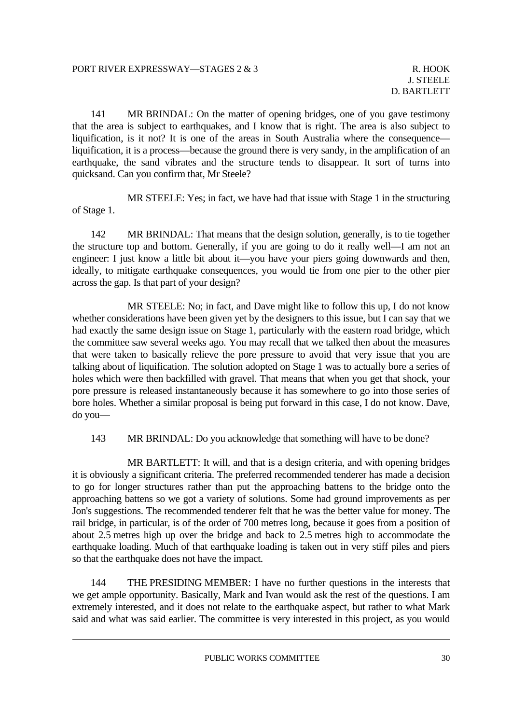141 MR BRINDAL: On the matter of opening bridges, one of you gave testimony that the area is subject to earthquakes, and I know that is right. The area is also subject to liquification, is it not? It is one of the areas in South Australia where the consequence liquification, it is a process—because the ground there is very sandy, in the amplification of an earthquake, the sand vibrates and the structure tends to disappear. It sort of turns into quicksand. Can you confirm that, Mr Steele?

 MR STEELE: Yes; in fact, we have had that issue with Stage 1 in the structuring of Stage 1.

 142 MR BRINDAL: That means that the design solution, generally, is to tie together the structure top and bottom. Generally, if you are going to do it really well—I am not an engineer: I just know a little bit about it—you have your piers going downwards and then, ideally, to mitigate earthquake consequences, you would tie from one pier to the other pier across the gap. Is that part of your design?

 MR STEELE: No; in fact, and Dave might like to follow this up, I do not know whether considerations have been given yet by the designers to this issue, but I can say that we had exactly the same design issue on Stage 1, particularly with the eastern road bridge, which the committee saw several weeks ago. You may recall that we talked then about the measures that were taken to basically relieve the pore pressure to avoid that very issue that you are talking about of liquification. The solution adopted on Stage 1 was to actually bore a series of holes which were then backfilled with gravel. That means that when you get that shock, your pore pressure is released instantaneously because it has somewhere to go into those series of bore holes. Whether a similar proposal is being put forward in this case, I do not know. Dave, do you—

143 MR BRINDAL: Do you acknowledge that something will have to be done?

 MR BARTLETT: It will, and that is a design criteria, and with opening bridges it is obviously a significant criteria. The preferred recommended tenderer has made a decision to go for longer structures rather than put the approaching battens to the bridge onto the approaching battens so we got a variety of solutions. Some had ground improvements as per Jon's suggestions. The recommended tenderer felt that he was the better value for money. The rail bridge, in particular, is of the order of 700 metres long, because it goes from a position of about 2.5 metres high up over the bridge and back to 2.5 metres high to accommodate the earthquake loading. Much of that earthquake loading is taken out in very stiff piles and piers so that the earthquake does not have the impact.

 144 THE PRESIDING MEMBER: I have no further questions in the interests that we get ample opportunity. Basically, Mark and Ivan would ask the rest of the questions. I am extremely interested, and it does not relate to the earthquake aspect, but rather to what Mark said and what was said earlier. The committee is very interested in this project, as you would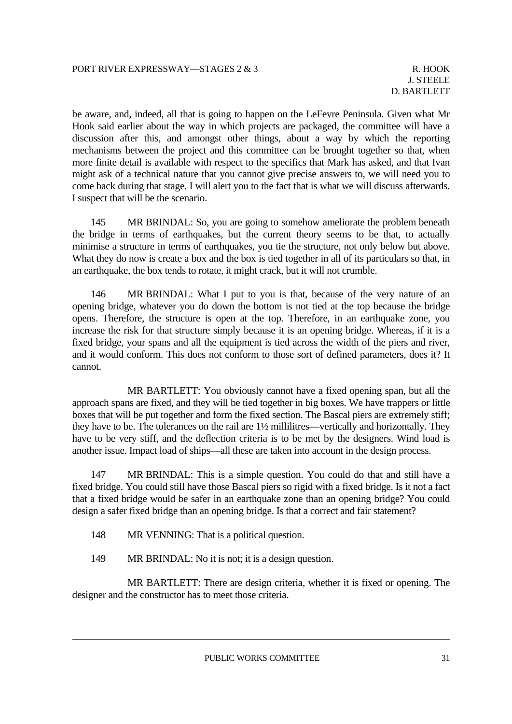be aware, and, indeed, all that is going to happen on the LeFevre Peninsula. Given what Mr Hook said earlier about the way in which projects are packaged, the committee will have a discussion after this, and amongst other things, about a way by which the reporting mechanisms between the project and this committee can be brought together so that, when more finite detail is available with respect to the specifics that Mark has asked, and that Ivan might ask of a technical nature that you cannot give precise answers to, we will need you to come back during that stage. I will alert you to the fact that is what we will discuss afterwards. I suspect that will be the scenario.

145 MR BRINDAL: So, you are going to somehow ameliorate the problem beneath the bridge in terms of earthquakes, but the current theory seems to be that, to actually minimise a structure in terms of earthquakes, you tie the structure, not only below but above. What they do now is create a box and the box is tied together in all of its particulars so that, in an earthquake, the box tends to rotate, it might crack, but it will not crumble.

 146 MR BRINDAL: What I put to you is that, because of the very nature of an opening bridge, whatever you do down the bottom is not tied at the top because the bridge opens. Therefore, the structure is open at the top. Therefore, in an earthquake zone, you increase the risk for that structure simply because it is an opening bridge. Whereas, if it is a fixed bridge, your spans and all the equipment is tied across the width of the piers and river, and it would conform. This does not conform to those sort of defined parameters, does it? It cannot.

 MR BARTLETT: You obviously cannot have a fixed opening span, but all the approach spans are fixed, and they will be tied together in big boxes. We have trappers or little boxes that will be put together and form the fixed section. The Bascal piers are extremely stiff; they have to be. The tolerances on the rail are 1½ millilitres—vertically and horizontally. They have to be very stiff, and the deflection criteria is to be met by the designers. Wind load is another issue. Impact load of ships—all these are taken into account in the design process.

 147 MR BRINDAL: This is a simple question. You could do that and still have a fixed bridge. You could still have those Bascal piers so rigid with a fixed bridge. Is it not a fact that a fixed bridge would be safer in an earthquake zone than an opening bridge? You could design a safer fixed bridge than an opening bridge. Is that a correct and fair statement?

- 148 MR VENNING: That is a political question.
- 149 MR BRINDAL: No it is not; it is a design question.

 MR BARTLETT: There are design criteria, whether it is fixed or opening. The designer and the constructor has to meet those criteria.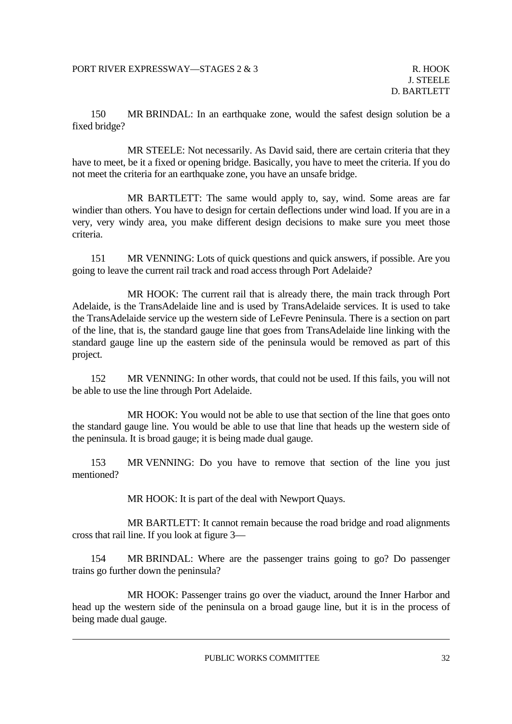150 MR BRINDAL: In an earthquake zone, would the safest design solution be a fixed bridge?

 MR STEELE: Not necessarily. As David said, there are certain criteria that they have to meet, be it a fixed or opening bridge. Basically, you have to meet the criteria. If you do not meet the criteria for an earthquake zone, you have an unsafe bridge.

 MR BARTLETT: The same would apply to, say, wind. Some areas are far windier than others. You have to design for certain deflections under wind load. If you are in a very, very windy area, you make different design decisions to make sure you meet those criteria.

 151 MR VENNING: Lots of quick questions and quick answers, if possible. Are you going to leave the current rail track and road access through Port Adelaide?

 MR HOOK: The current rail that is already there, the main track through Port Adelaide, is the TransAdelaide line and is used by TransAdelaide services. It is used to take the TransAdelaide service up the western side of LeFevre Peninsula. There is a section on part of the line, that is, the standard gauge line that goes from TransAdelaide line linking with the standard gauge line up the eastern side of the peninsula would be removed as part of this project.

 152 MR VENNING: In other words, that could not be used. If this fails, you will not be able to use the line through Port Adelaide.

 MR HOOK: You would not be able to use that section of the line that goes onto the standard gauge line. You would be able to use that line that heads up the western side of the peninsula. It is broad gauge; it is being made dual gauge.

 153 MR VENNING: Do you have to remove that section of the line you just mentioned?

MR HOOK: It is part of the deal with Newport Quays.

 MR BARTLETT: It cannot remain because the road bridge and road alignments cross that rail line. If you look at figure 3—

 154 MR BRINDAL: Where are the passenger trains going to go? Do passenger trains go further down the peninsula?

 MR HOOK: Passenger trains go over the viaduct, around the Inner Harbor and head up the western side of the peninsula on a broad gauge line, but it is in the process of being made dual gauge.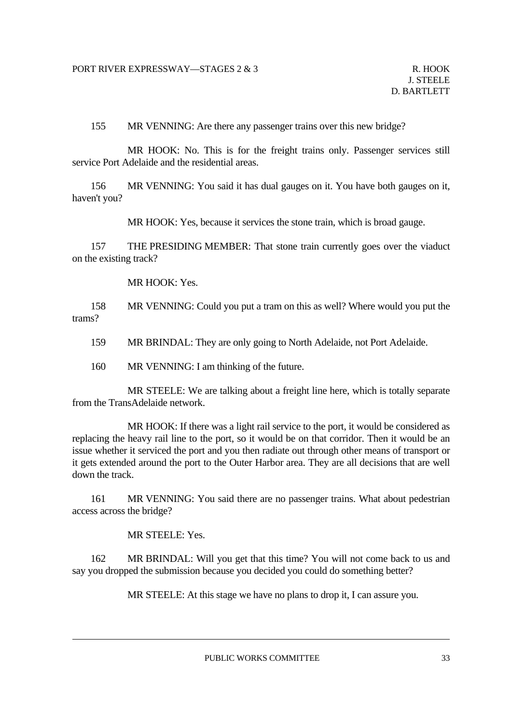155 MR VENNING: Are there any passenger trains over this new bridge?

 MR HOOK: No. This is for the freight trains only. Passenger services still service Port Adelaide and the residential areas.

 156 MR VENNING: You said it has dual gauges on it. You have both gauges on it, haven't you?

MR HOOK: Yes, because it services the stone train, which is broad gauge.

 157 THE PRESIDING MEMBER: That stone train currently goes over the viaduct on the existing track?

MR HOOK: Yes.

 158 MR VENNING: Could you put a tram on this as well? Where would you put the trams?

159 MR BRINDAL: They are only going to North Adelaide, not Port Adelaide.

160 MR VENNING: I am thinking of the future.

 MR STEELE: We are talking about a freight line here, which is totally separate from the TransAdelaide network.

 MR HOOK: If there was a light rail service to the port, it would be considered as replacing the heavy rail line to the port, so it would be on that corridor. Then it would be an issue whether it serviced the port and you then radiate out through other means of transport or it gets extended around the port to the Outer Harbor area. They are all decisions that are well down the track.

 161 MR VENNING: You said there are no passenger trains. What about pedestrian access across the bridge?

MR STEELE: Yes.

 162 MR BRINDAL: Will you get that this time? You will not come back to us and say you dropped the submission because you decided you could do something better?

MR STEELE: At this stage we have no plans to drop it, I can assure you.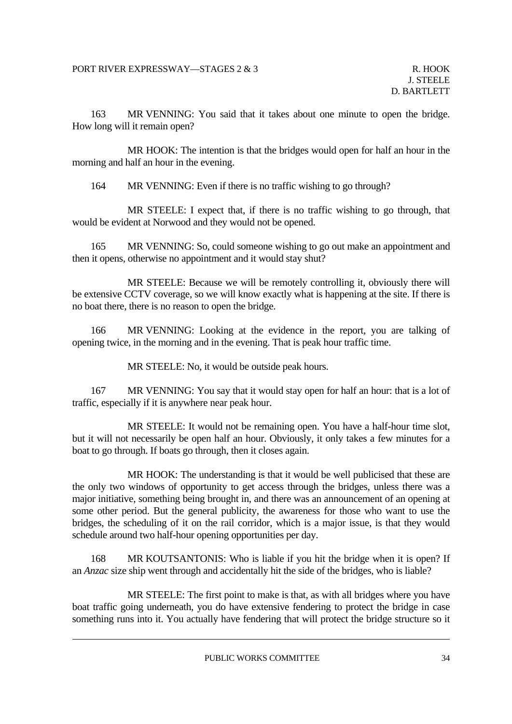163 MR VENNING: You said that it takes about one minute to open the bridge. How long will it remain open?

 MR HOOK: The intention is that the bridges would open for half an hour in the morning and half an hour in the evening.

164 MR VENNING: Even if there is no traffic wishing to go through?

 MR STEELE: I expect that, if there is no traffic wishing to go through, that would be evident at Norwood and they would not be opened.

 165 MR VENNING: So, could someone wishing to go out make an appointment and then it opens, otherwise no appointment and it would stay shut?

 MR STEELE: Because we will be remotely controlling it, obviously there will be extensive CCTV coverage, so we will know exactly what is happening at the site. If there is no boat there, there is no reason to open the bridge.

 166 MR VENNING: Looking at the evidence in the report, you are talking of opening twice, in the morning and in the evening. That is peak hour traffic time.

MR STEELE: No, it would be outside peak hours.

 167 MR VENNING: You say that it would stay open for half an hour: that is a lot of traffic, especially if it is anywhere near peak hour.

 MR STEELE: It would not be remaining open. You have a half-hour time slot, but it will not necessarily be open half an hour. Obviously, it only takes a few minutes for a boat to go through. If boats go through, then it closes again.

 MR HOOK: The understanding is that it would be well publicised that these are the only two windows of opportunity to get access through the bridges, unless there was a major initiative, something being brought in, and there was an announcement of an opening at some other period. But the general publicity, the awareness for those who want to use the bridges, the scheduling of it on the rail corridor, which is a major issue, is that they would schedule around two half-hour opening opportunities per day.

 168 MR KOUTSANTONIS: Who is liable if you hit the bridge when it is open? If an *Anzac* size ship went through and accidentally hit the side of the bridges, who is liable?

 MR STEELE: The first point to make is that, as with all bridges where you have boat traffic going underneath, you do have extensive fendering to protect the bridge in case something runs into it. You actually have fendering that will protect the bridge structure so it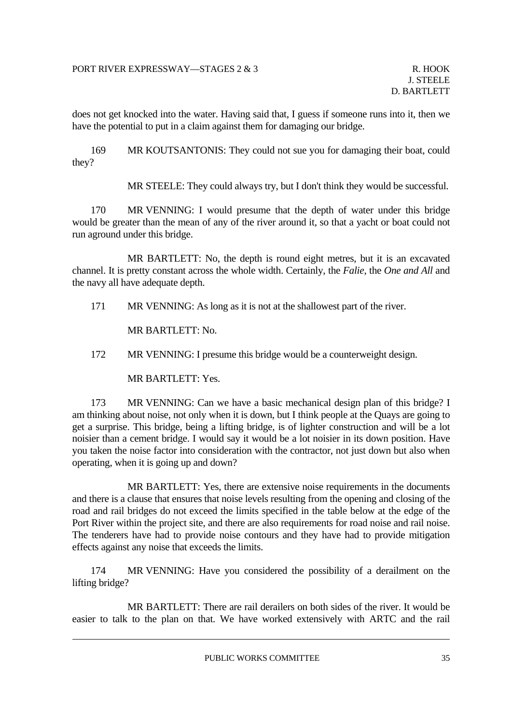does not get knocked into the water. Having said that, I guess if someone runs into it, then we have the potential to put in a claim against them for damaging our bridge.

 169 MR KOUTSANTONIS: They could not sue you for damaging their boat, could they?

MR STEELE: They could always try, but I don't think they would be successful.

 170 MR VENNING: I would presume that the depth of water under this bridge would be greater than the mean of any of the river around it, so that a yacht or boat could not run aground under this bridge.

 MR BARTLETT: No, the depth is round eight metres, but it is an excavated channel. It is pretty constant across the whole width. Certainly, the *Falie*, the *One and All* and the navy all have adequate depth.

171 MR VENNING: As long as it is not at the shallowest part of the river.

MR BARTLETT: No.

172 MR VENNING: I presume this bridge would be a counterweight design.

MR BARTLETT: Yes.

 173 MR VENNING: Can we have a basic mechanical design plan of this bridge? I am thinking about noise, not only when it is down, but I think people at the Quays are going to get a surprise. This bridge, being a lifting bridge, is of lighter construction and will be a lot noisier than a cement bridge. I would say it would be a lot noisier in its down position. Have you taken the noise factor into consideration with the contractor, not just down but also when operating, when it is going up and down?

 MR BARTLETT: Yes, there are extensive noise requirements in the documents and there is a clause that ensures that noise levels resulting from the opening and closing of the road and rail bridges do not exceed the limits specified in the table below at the edge of the Port River within the project site, and there are also requirements for road noise and rail noise. The tenderers have had to provide noise contours and they have had to provide mitigation effects against any noise that exceeds the limits.

 174 MR VENNING: Have you considered the possibility of a derailment on the lifting bridge?

 MR BARTLETT: There are rail derailers on both sides of the river. It would be easier to talk to the plan on that. We have worked extensively with ARTC and the rail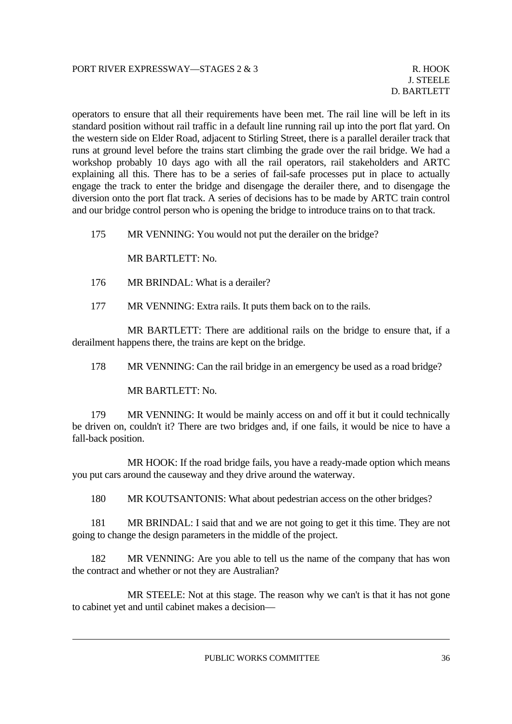operators to ensure that all their requirements have been met. The rail line will be left in its standard position without rail traffic in a default line running rail up into the port flat yard. On the western side on Elder Road, adjacent to Stirling Street, there is a parallel derailer track that runs at ground level before the trains start climbing the grade over the rail bridge. We had a workshop probably 10 days ago with all the rail operators, rail stakeholders and ARTC explaining all this. There has to be a series of fail-safe processes put in place to actually engage the track to enter the bridge and disengage the derailer there, and to disengage the diversion onto the port flat track. A series of decisions has to be made by ARTC train control and our bridge control person who is opening the bridge to introduce trains on to that track.

175 MR VENNING: You would not put the derailer on the bridge?

MR BARTLETT: No.

- 176 MR BRINDAL: What is a derailer?
- 177 MR VENNING: Extra rails. It puts them back on to the rails.

 MR BARTLETT: There are additional rails on the bridge to ensure that, if a derailment happens there, the trains are kept on the bridge.

178 MR VENNING: Can the rail bridge in an emergency be used as a road bridge?

MR BARTLETT: No.

 179 MR VENNING: It would be mainly access on and off it but it could technically be driven on, couldn't it? There are two bridges and, if one fails, it would be nice to have a fall-back position.

 MR HOOK: If the road bridge fails, you have a ready-made option which means you put cars around the causeway and they drive around the waterway.

180 MR KOUTSANTONIS: What about pedestrian access on the other bridges?

 181 MR BRINDAL: I said that and we are not going to get it this time. They are not going to change the design parameters in the middle of the project.

 182 MR VENNING: Are you able to tell us the name of the company that has won the contract and whether or not they are Australian?

 MR STEELE: Not at this stage. The reason why we can't is that it has not gone to cabinet yet and until cabinet makes a decision—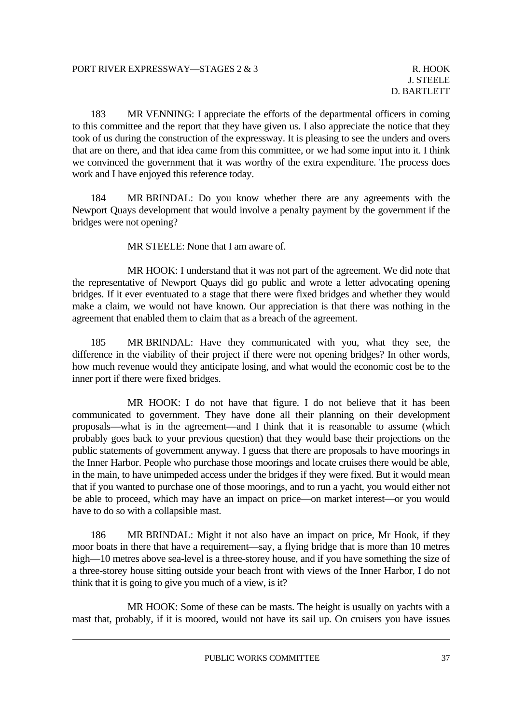183 MR VENNING: I appreciate the efforts of the departmental officers in coming to this committee and the report that they have given us. I also appreciate the notice that they took of us during the construction of the expressway. It is pleasing to see the unders and overs that are on there, and that idea came from this committee, or we had some input into it. I think we convinced the government that it was worthy of the extra expenditure. The process does work and I have enjoyed this reference today.

 184 MR BRINDAL: Do you know whether there are any agreements with the Newport Quays development that would involve a penalty payment by the government if the bridges were not opening?

MR STEELE: None that I am aware of.

 MR HOOK: I understand that it was not part of the agreement. We did note that the representative of Newport Quays did go public and wrote a letter advocating opening bridges. If it ever eventuated to a stage that there were fixed bridges and whether they would make a claim, we would not have known. Our appreciation is that there was nothing in the agreement that enabled them to claim that as a breach of the agreement.

 185 MR BRINDAL: Have they communicated with you, what they see, the difference in the viability of their project if there were not opening bridges? In other words, how much revenue would they anticipate losing, and what would the economic cost be to the inner port if there were fixed bridges.

 MR HOOK: I do not have that figure. I do not believe that it has been communicated to government. They have done all their planning on their development proposals—what is in the agreement—and I think that it is reasonable to assume (which probably goes back to your previous question) that they would base their projections on the public statements of government anyway. I guess that there are proposals to have moorings in the Inner Harbor. People who purchase those moorings and locate cruises there would be able, in the main, to have unimpeded access under the bridges if they were fixed. But it would mean that if you wanted to purchase one of those moorings, and to run a yacht, you would either not be able to proceed, which may have an impact on price—on market interest—or you would have to do so with a collapsible mast.

 186 MR BRINDAL: Might it not also have an impact on price, Mr Hook, if they moor boats in there that have a requirement—say, a flying bridge that is more than 10 metres high—10 metres above sea-level is a three-storey house, and if you have something the size of a three-storey house sitting outside your beach front with views of the Inner Harbor, I do not think that it is going to give you much of a view, is it?

 MR HOOK: Some of these can be masts. The height is usually on yachts with a mast that, probably, if it is moored, would not have its sail up. On cruisers you have issues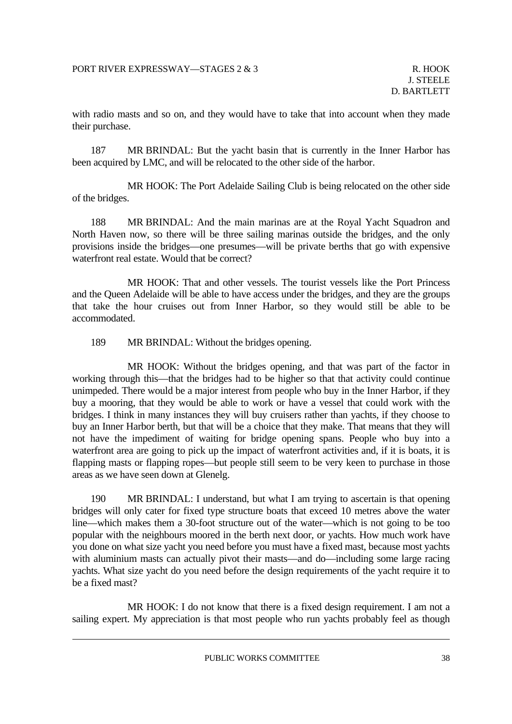with radio masts and so on, and they would have to take that into account when they made their purchase.

 187 MR BRINDAL: But the yacht basin that is currently in the Inner Harbor has been acquired by LMC, and will be relocated to the other side of the harbor.

 MR HOOK: The Port Adelaide Sailing Club is being relocated on the other side of the bridges.

 188 MR BRINDAL: And the main marinas are at the Royal Yacht Squadron and North Haven now, so there will be three sailing marinas outside the bridges, and the only provisions inside the bridges—one presumes—will be private berths that go with expensive waterfront real estate. Would that be correct?

 MR HOOK: That and other vessels. The tourist vessels like the Port Princess and the Queen Adelaide will be able to have access under the bridges, and they are the groups that take the hour cruises out from Inner Harbor, so they would still be able to be accommodated.

189 MR BRINDAL: Without the bridges opening.

 MR HOOK: Without the bridges opening, and that was part of the factor in working through this—that the bridges had to be higher so that that activity could continue unimpeded. There would be a major interest from people who buy in the Inner Harbor, if they buy a mooring, that they would be able to work or have a vessel that could work with the bridges. I think in many instances they will buy cruisers rather than yachts, if they choose to buy an Inner Harbor berth, but that will be a choice that they make. That means that they will not have the impediment of waiting for bridge opening spans. People who buy into a waterfront area are going to pick up the impact of waterfront activities and, if it is boats, it is flapping masts or flapping ropes—but people still seem to be very keen to purchase in those areas as we have seen down at Glenelg.

 190 MR BRINDAL: I understand, but what I am trying to ascertain is that opening bridges will only cater for fixed type structure boats that exceed 10 metres above the water line—which makes them a 30-foot structure out of the water—which is not going to be too popular with the neighbours moored in the berth next door, or yachts. How much work have you done on what size yacht you need before you must have a fixed mast, because most yachts with aluminium masts can actually pivot their masts—and do—including some large racing yachts. What size yacht do you need before the design requirements of the yacht require it to be a fixed mast?

MR HOOK: I do not know that there is a fixed design requirement. I am not a sailing expert. My appreciation is that most people who run yachts probably feel as though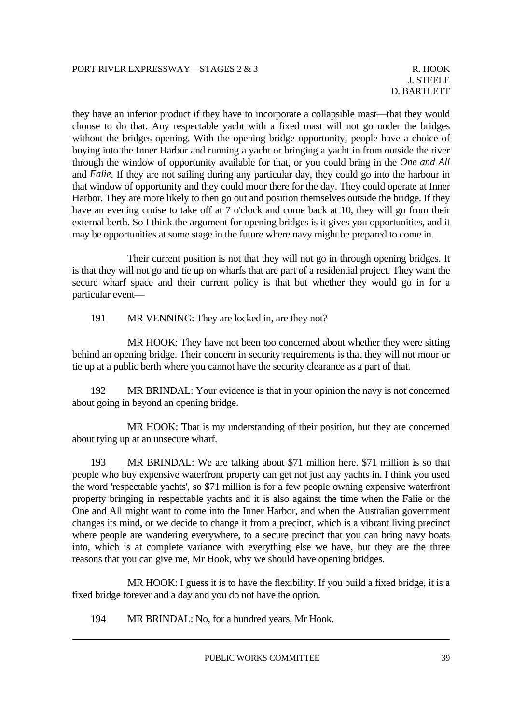R. HOOK J. STEELE D. BARTLETT

they have an inferior product if they have to incorporate a collapsible mast—that they would choose to do that. Any respectable yacht with a fixed mast will not go under the bridges without the bridges opening. With the opening bridge opportunity, people have a choice of buying into the Inner Harbor and running a yacht or bringing a yacht in from outside the river through the window of opportunity available for that, or you could bring in the *One and All* and *Falie*. If they are not sailing during any particular day, they could go into the harbour in that window of opportunity and they could moor there for the day. They could operate at Inner Harbor. They are more likely to then go out and position themselves outside the bridge. If they have an evening cruise to take off at 7 o'clock and come back at 10, they will go from their external berth. So I think the argument for opening bridges is it gives you opportunities, and it may be opportunities at some stage in the future where navy might be prepared to come in.

 Their current position is not that they will not go in through opening bridges. It is that they will not go and tie up on wharfs that are part of a residential project. They want the secure wharf space and their current policy is that but whether they would go in for a particular event—

191 MR VENNING: They are locked in, are they not?

 MR HOOK: They have not been too concerned about whether they were sitting behind an opening bridge. Their concern in security requirements is that they will not moor or tie up at a public berth where you cannot have the security clearance as a part of that.

 192 MR BRINDAL: Your evidence is that in your opinion the navy is not concerned about going in beyond an opening bridge.

 MR HOOK: That is my understanding of their position, but they are concerned about tying up at an unsecure wharf.

 193 MR BRINDAL: We are talking about \$71 million here. \$71 million is so that people who buy expensive waterfront property can get not just any yachts in. I think you used the word 'respectable yachts', so \$71 million is for a few people owning expensive waterfront property bringing in respectable yachts and it is also against the time when the Falie or the One and All might want to come into the Inner Harbor, and when the Australian government changes its mind, or we decide to change it from a precinct, which is a vibrant living precinct where people are wandering everywhere, to a secure precinct that you can bring navy boats into, which is at complete variance with everything else we have, but they are the three reasons that you can give me, Mr Hook, why we should have opening bridges.

 MR HOOK: I guess it is to have the flexibility. If you build a fixed bridge, it is a fixed bridge forever and a day and you do not have the option.

194 MR BRINDAL: No, for a hundred years, Mr Hook.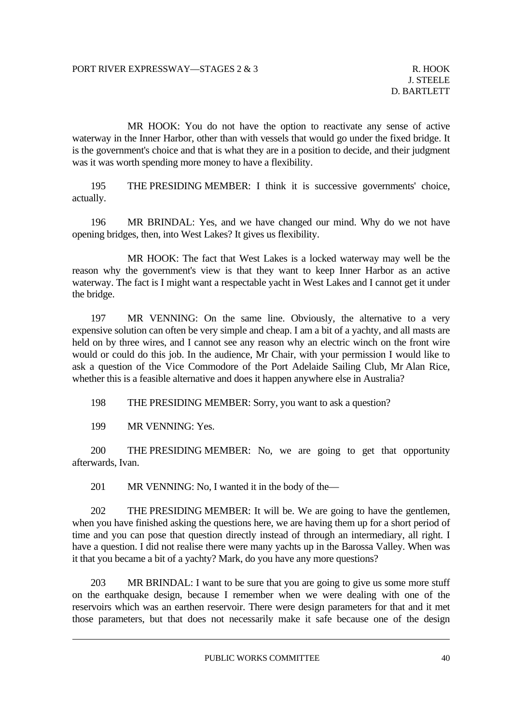MR HOOK: You do not have the option to reactivate any sense of active waterway in the Inner Harbor, other than with vessels that would go under the fixed bridge. It is the government's choice and that is what they are in a position to decide, and their judgment was it was worth spending more money to have a flexibility.

 195 THE PRESIDING MEMBER: I think it is successive governments' choice, actually.

 196 MR BRINDAL: Yes, and we have changed our mind. Why do we not have opening bridges, then, into West Lakes? It gives us flexibility.

 MR HOOK: The fact that West Lakes is a locked waterway may well be the reason why the government's view is that they want to keep Inner Harbor as an active waterway. The fact is I might want a respectable yacht in West Lakes and I cannot get it under the bridge.

 197 MR VENNING: On the same line. Obviously, the alternative to a very expensive solution can often be very simple and cheap. I am a bit of a yachty, and all masts are held on by three wires, and I cannot see any reason why an electric winch on the front wire would or could do this job. In the audience, Mr Chair, with your permission I would like to ask a question of the Vice Commodore of the Port Adelaide Sailing Club, Mr Alan Rice, whether this is a feasible alternative and does it happen anywhere else in Australia?

198 THE PRESIDING MEMBER: Sorry, you want to ask a question?

199 MR VENNING: Yes.

 200 THE PRESIDING MEMBER: No, we are going to get that opportunity afterwards, Ivan.

201 MR VENNING: No, I wanted it in the body of the—

 202 THE PRESIDING MEMBER: It will be. We are going to have the gentlemen, when you have finished asking the questions here, we are having them up for a short period of time and you can pose that question directly instead of through an intermediary, all right. I have a question. I did not realise there were many yachts up in the Barossa Valley. When was it that you became a bit of a yachty? Mark, do you have any more questions?

 203 MR BRINDAL: I want to be sure that you are going to give us some more stuff on the earthquake design, because I remember when we were dealing with one of the reservoirs which was an earthen reservoir. There were design parameters for that and it met those parameters, but that does not necessarily make it safe because one of the design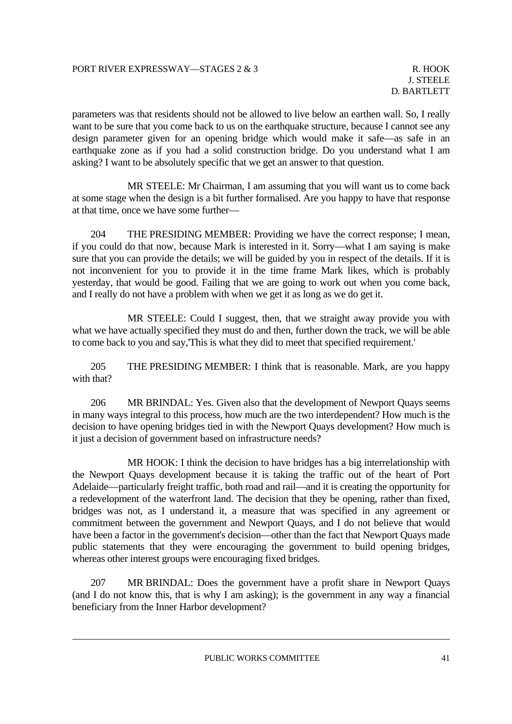parameters was that residents should not be allowed to live below an earthen wall. So, I really want to be sure that you come back to us on the earthquake structure, because I cannot see any design parameter given for an opening bridge which would make it safe—as safe in an earthquake zone as if you had a solid construction bridge. Do you understand what I am asking? I want to be absolutely specific that we get an answer to that question.

 MR STEELE: Mr Chairman, I am assuming that you will want us to come back at some stage when the design is a bit further formalised. Are you happy to have that response at that time, once we have some further—

 204 THE PRESIDING MEMBER: Providing we have the correct response; I mean, if you could do that now, because Mark is interested in it. Sorry—what I am saying is make sure that you can provide the details; we will be guided by you in respect of the details. If it is not inconvenient for you to provide it in the time frame Mark likes, which is probably yesterday, that would be good. Failing that we are going to work out when you come back, and I really do not have a problem with when we get it as long as we do get it.

 MR STEELE: Could I suggest, then, that we straight away provide you with what we have actually specified they must do and then, further down the track, we will be able to come back to you and say,'This is what they did to meet that specified requirement.'

 205 THE PRESIDING MEMBER: I think that is reasonable. Mark, are you happy with that?

 206 MR BRINDAL: Yes. Given also that the development of Newport Quays seems in many ways integral to this process, how much are the two interdependent? How much is the decision to have opening bridges tied in with the Newport Quays development? How much is it just a decision of government based on infrastructure needs?

 MR HOOK: I think the decision to have bridges has a big interrelationship with the Newport Quays development because it is taking the traffic out of the heart of Port Adelaide—particularly freight traffic, both road and rail—and it is creating the opportunity for a redevelopment of the waterfront land. The decision that they be opening, rather than fixed, bridges was not, as I understand it, a measure that was specified in any agreement or commitment between the government and Newport Quays, and I do not believe that would have been a factor in the government's decision—other than the fact that Newport Quays made public statements that they were encouraging the government to build opening bridges, whereas other interest groups were encouraging fixed bridges.

 207 MR BRINDAL: Does the government have a profit share in Newport Quays (and I do not know this, that is why I am asking); is the government in any way a financial beneficiary from the Inner Harbor development?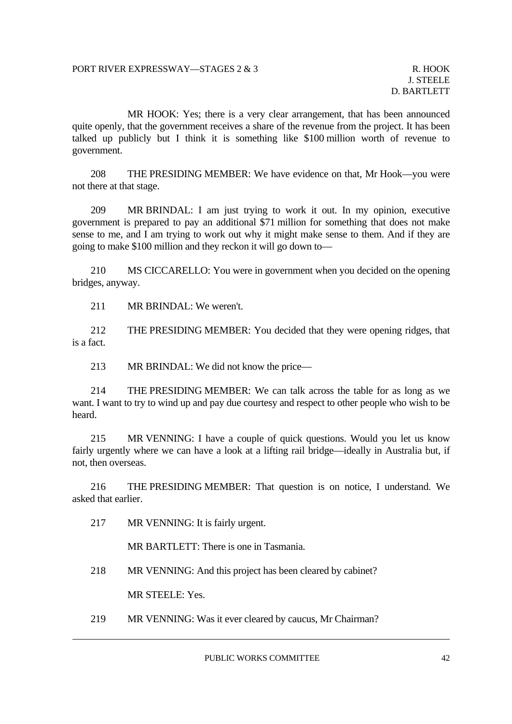MR HOOK: Yes; there is a very clear arrangement, that has been announced quite openly, that the government receives a share of the revenue from the project. It has been talked up publicly but I think it is something like \$100 million worth of revenue to government.

 208 THE PRESIDING MEMBER: We have evidence on that, Mr Hook—you were not there at that stage.

 209 MR BRINDAL: I am just trying to work it out. In my opinion, executive government is prepared to pay an additional \$71 million for something that does not make sense to me, and I am trying to work out why it might make sense to them. And if they are going to make \$100 million and they reckon it will go down to—

 210 MS CICCARELLO: You were in government when you decided on the opening bridges, anyway.

211 MR BRINDAL: We weren't.

 212 THE PRESIDING MEMBER: You decided that they were opening ridges, that is a fact.

213 MR BRINDAL: We did not know the price—

 214 THE PRESIDING MEMBER: We can talk across the table for as long as we want. I want to try to wind up and pay due courtesy and respect to other people who wish to be heard.

 215 MR VENNING: I have a couple of quick questions. Would you let us know fairly urgently where we can have a look at a lifting rail bridge—ideally in Australia but, if not, then overseas.

 216 THE PRESIDING MEMBER: That question is on notice, I understand. We asked that earlier.

217 MR VENNING: It is fairly urgent.

MR BARTLETT: There is one in Tasmania.

218 MR VENNING: And this project has been cleared by cabinet?

MR STEELE: Yes.

219 MR VENNING: Was it ever cleared by caucus, Mr Chairman?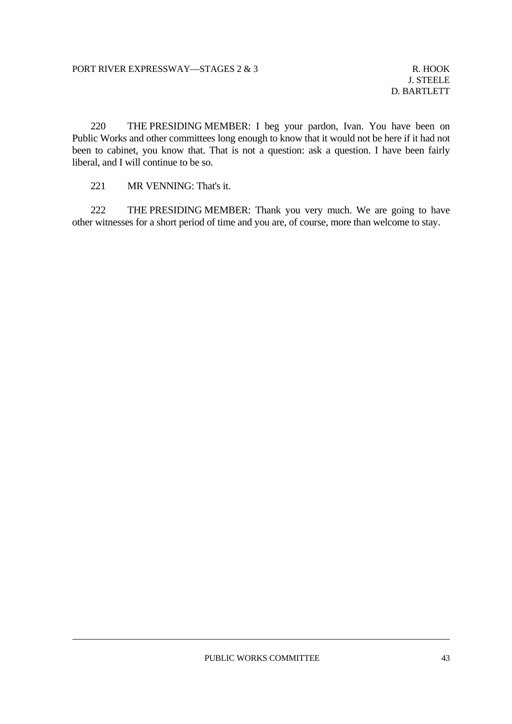R. HOOK J. STEELE D. BARTLETT

 220 THE PRESIDING MEMBER: I beg your pardon, Ivan. You have been on Public Works and other committees long enough to know that it would not be here if it had not been to cabinet, you know that. That is not a question: ask a question. I have been fairly liberal, and I will continue to be so.

221 MR VENNING: That's it.

 222 THE PRESIDING MEMBER: Thank you very much. We are going to have other witnesses for a short period of time and you are, of course, more than welcome to stay.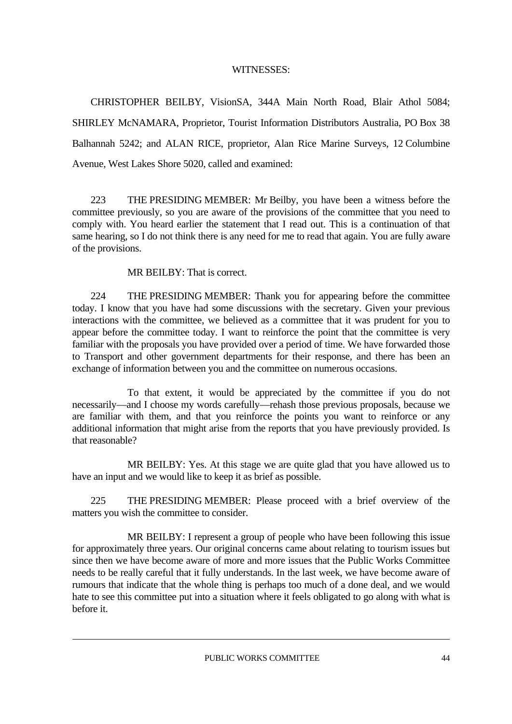#### WITNESSES:

 CHRISTOPHER BEILBY, VisionSA, 344A Main North Road, Blair Athol 5084; SHIRLEY McNAMARA, Proprietor, Tourist Information Distributors Australia, PO Box 38 Balhannah 5242; and ALAN RICE, proprietor, Alan Rice Marine Surveys, 12 Columbine Avenue, West Lakes Shore 5020, called and examined:

 223 THE PRESIDING MEMBER: Mr Beilby, you have been a witness before the committee previously, so you are aware of the provisions of the committee that you need to comply with. You heard earlier the statement that I read out. This is a continuation of that same hearing, so I do not think there is any need for me to read that again. You are fully aware of the provisions.

MR BEILBY: That is correct.

 224 THE PRESIDING MEMBER: Thank you for appearing before the committee today. I know that you have had some discussions with the secretary. Given your previous interactions with the committee, we believed as a committee that it was prudent for you to appear before the committee today. I want to reinforce the point that the committee is very familiar with the proposals you have provided over a period of time. We have forwarded those to Transport and other government departments for their response, and there has been an exchange of information between you and the committee on numerous occasions.

 To that extent, it would be appreciated by the committee if you do not necessarily—and I choose my words carefully—rehash those previous proposals, because we are familiar with them, and that you reinforce the points you want to reinforce or any additional information that might arise from the reports that you have previously provided. Is that reasonable?

 MR BEILBY: Yes. At this stage we are quite glad that you have allowed us to have an input and we would like to keep it as brief as possible.

 225 THE PRESIDING MEMBER: Please proceed with a brief overview of the matters you wish the committee to consider.

 MR BEILBY: I represent a group of people who have been following this issue for approximately three years. Our original concerns came about relating to tourism issues but since then we have become aware of more and more issues that the Public Works Committee needs to be really careful that it fully understands. In the last week, we have become aware of rumours that indicate that the whole thing is perhaps too much of a done deal, and we would hate to see this committee put into a situation where it feels obligated to go along with what is before it.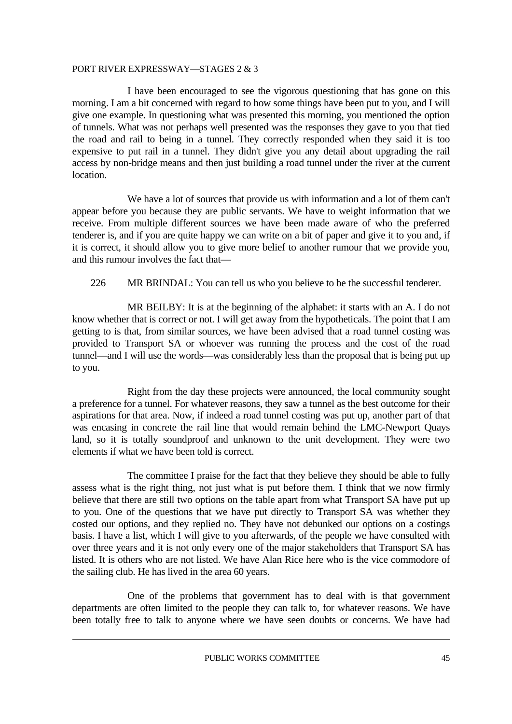I have been encouraged to see the vigorous questioning that has gone on this morning. I am a bit concerned with regard to how some things have been put to you, and I will give one example. In questioning what was presented this morning, you mentioned the option of tunnels. What was not perhaps well presented was the responses they gave to you that tied the road and rail to being in a tunnel. They correctly responded when they said it is too expensive to put rail in a tunnel. They didn't give you any detail about upgrading the rail access by non-bridge means and then just building a road tunnel under the river at the current location.

 We have a lot of sources that provide us with information and a lot of them can't appear before you because they are public servants. We have to weight information that we receive. From multiple different sources we have been made aware of who the preferred tenderer is, and if you are quite happy we can write on a bit of paper and give it to you and, if it is correct, it should allow you to give more belief to another rumour that we provide you, and this rumour involves the fact that—

226 MR BRINDAL: You can tell us who you believe to be the successful tenderer.

 MR BEILBY: It is at the beginning of the alphabet: it starts with an A. I do not know whether that is correct or not. I will get away from the hypotheticals. The point that I am getting to is that, from similar sources, we have been advised that a road tunnel costing was provided to Transport SA or whoever was running the process and the cost of the road tunnel—and I will use the words—was considerably less than the proposal that is being put up to you.

 Right from the day these projects were announced, the local community sought a preference for a tunnel. For whatever reasons, they saw a tunnel as the best outcome for their aspirations for that area. Now, if indeed a road tunnel costing was put up, another part of that was encasing in concrete the rail line that would remain behind the LMC-Newport Quays land, so it is totally soundproof and unknown to the unit development. They were two elements if what we have been told is correct.

 The committee I praise for the fact that they believe they should be able to fully assess what is the right thing, not just what is put before them. I think that we now firmly believe that there are still two options on the table apart from what Transport SA have put up to you. One of the questions that we have put directly to Transport SA was whether they costed our options, and they replied no. They have not debunked our options on a costings basis. I have a list, which I will give to you afterwards, of the people we have consulted with over three years and it is not only every one of the major stakeholders that Transport SA has listed. It is others who are not listed. We have Alan Rice here who is the vice commodore of the sailing club. He has lived in the area 60 years.

 One of the problems that government has to deal with is that government departments are often limited to the people they can talk to, for whatever reasons. We have been totally free to talk to anyone where we have seen doubts or concerns. We have had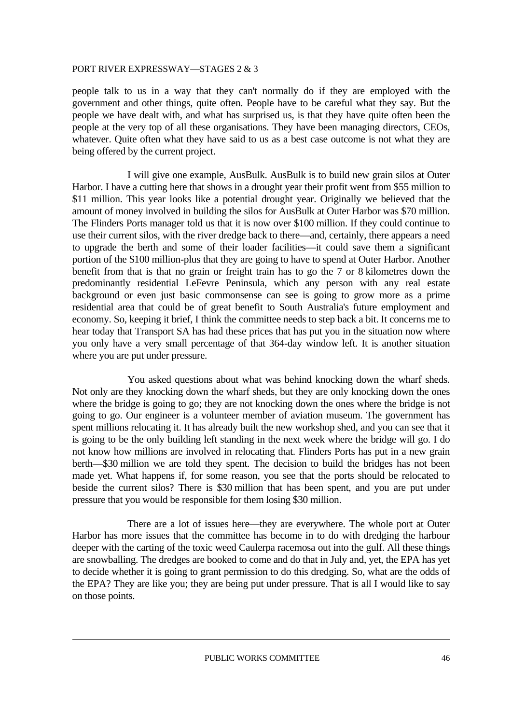people talk to us in a way that they can't normally do if they are employed with the government and other things, quite often. People have to be careful what they say. But the people we have dealt with, and what has surprised us, is that they have quite often been the people at the very top of all these organisations. They have been managing directors, CEOs, whatever. Quite often what they have said to us as a best case outcome is not what they are being offered by the current project.

 I will give one example, AusBulk. AusBulk is to build new grain silos at Outer Harbor. I have a cutting here that shows in a drought year their profit went from \$55 million to \$11 million. This year looks like a potential drought year. Originally we believed that the amount of money involved in building the silos for AusBulk at Outer Harbor was \$70 million. The Flinders Ports manager told us that it is now over \$100 million. If they could continue to use their current silos, with the river dredge back to there—and, certainly, there appears a need to upgrade the berth and some of their loader facilities—it could save them a significant portion of the \$100 million-plus that they are going to have to spend at Outer Harbor. Another benefit from that is that no grain or freight train has to go the 7 or 8 kilometres down the predominantly residential LeFevre Peninsula, which any person with any real estate background or even just basic commonsense can see is going to grow more as a prime residential area that could be of great benefit to South Australia's future employment and economy. So, keeping it brief, I think the committee needs to step back a bit. It concerns me to hear today that Transport SA has had these prices that has put you in the situation now where you only have a very small percentage of that 364-day window left. It is another situation where you are put under pressure.

 You asked questions about what was behind knocking down the wharf sheds. Not only are they knocking down the wharf sheds, but they are only knocking down the ones where the bridge is going to go; they are not knocking down the ones where the bridge is not going to go. Our engineer is a volunteer member of aviation museum. The government has spent millions relocating it. It has already built the new workshop shed, and you can see that it is going to be the only building left standing in the next week where the bridge will go. I do not know how millions are involved in relocating that. Flinders Ports has put in a new grain berth—\$30 million we are told they spent. The decision to build the bridges has not been made yet. What happens if, for some reason, you see that the ports should be relocated to beside the current silos? There is \$30 million that has been spent, and you are put under pressure that you would be responsible for them losing \$30 million.

 There are a lot of issues here—they are everywhere. The whole port at Outer Harbor has more issues that the committee has become in to do with dredging the harbour deeper with the carting of the toxic weed Caulerpa racemosa out into the gulf. All these things are snowballing. The dredges are booked to come and do that in July and, yet, the EPA has yet to decide whether it is going to grant permission to do this dredging. So, what are the odds of the EPA? They are like you; they are being put under pressure. That is all I would like to say on those points.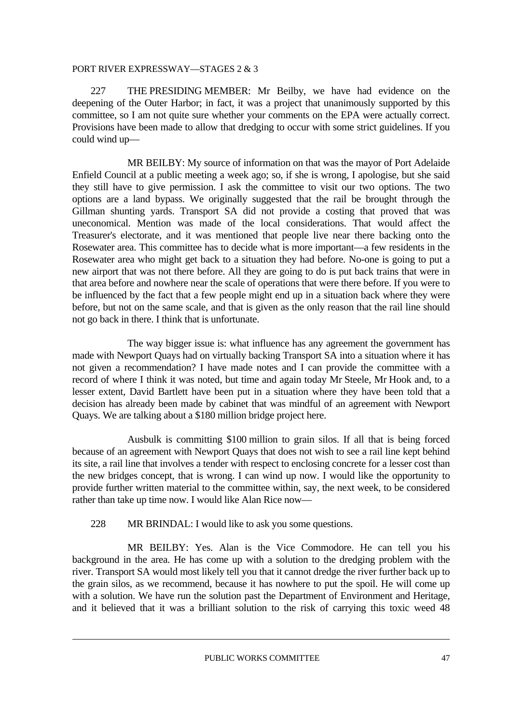227 THE PRESIDING MEMBER: Mr Beilby, we have had evidence on the deepening of the Outer Harbor; in fact, it was a project that unanimously supported by this committee, so I am not quite sure whether your comments on the EPA were actually correct. Provisions have been made to allow that dredging to occur with some strict guidelines. If you could wind up—

 MR BEILBY: My source of information on that was the mayor of Port Adelaide Enfield Council at a public meeting a week ago; so, if she is wrong, I apologise, but she said they still have to give permission. I ask the committee to visit our two options. The two options are a land bypass. We originally suggested that the rail be brought through the Gillman shunting yards. Transport SA did not provide a costing that proved that was uneconomical. Mention was made of the local considerations. That would affect the Treasurer's electorate, and it was mentioned that people live near there backing onto the Rosewater area. This committee has to decide what is more important—a few residents in the Rosewater area who might get back to a situation they had before. No-one is going to put a new airport that was not there before. All they are going to do is put back trains that were in that area before and nowhere near the scale of operations that were there before. If you were to be influenced by the fact that a few people might end up in a situation back where they were before, but not on the same scale, and that is given as the only reason that the rail line should not go back in there. I think that is unfortunate.

 The way bigger issue is: what influence has any agreement the government has made with Newport Quays had on virtually backing Transport SA into a situation where it has not given a recommendation? I have made notes and I can provide the committee with a record of where I think it was noted, but time and again today Mr Steele, Mr Hook and, to a lesser extent, David Bartlett have been put in a situation where they have been told that a decision has already been made by cabinet that was mindful of an agreement with Newport Quays. We are talking about a \$180 million bridge project here.

 Ausbulk is committing \$100 million to grain silos. If all that is being forced because of an agreement with Newport Quays that does not wish to see a rail line kept behind its site, a rail line that involves a tender with respect to enclosing concrete for a lesser cost than the new bridges concept, that is wrong. I can wind up now. I would like the opportunity to provide further written material to the committee within, say, the next week, to be considered rather than take up time now. I would like Alan Rice now—

228 MR BRINDAL: I would like to ask you some questions.

 MR BEILBY: Yes. Alan is the Vice Commodore. He can tell you his background in the area. He has come up with a solution to the dredging problem with the river. Transport SA would most likely tell you that it cannot dredge the river further back up to the grain silos, as we recommend, because it has nowhere to put the spoil. He will come up with a solution. We have run the solution past the Department of Environment and Heritage, and it believed that it was a brilliant solution to the risk of carrying this toxic weed 48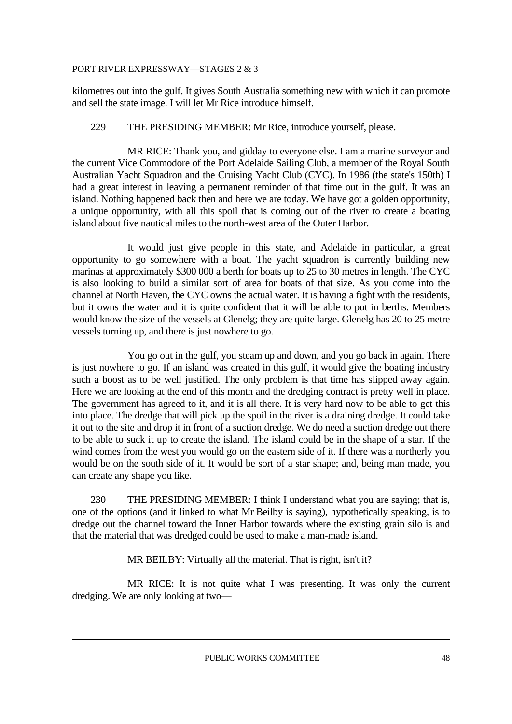kilometres out into the gulf. It gives South Australia something new with which it can promote and sell the state image. I will let Mr Rice introduce himself.

#### 229 THE PRESIDING MEMBER: Mr Rice, introduce yourself, please.

 MR RICE: Thank you, and gidday to everyone else. I am a marine surveyor and the current Vice Commodore of the Port Adelaide Sailing Club, a member of the Royal South Australian Yacht Squadron and the Cruising Yacht Club (CYC). In 1986 (the state's 150th) I had a great interest in leaving a permanent reminder of that time out in the gulf. It was an island. Nothing happened back then and here we are today. We have got a golden opportunity, a unique opportunity, with all this spoil that is coming out of the river to create a boating island about five nautical miles to the north-west area of the Outer Harbor.

 It would just give people in this state, and Adelaide in particular, a great opportunity to go somewhere with a boat. The yacht squadron is currently building new marinas at approximately \$300 000 a berth for boats up to 25 to 30 metres in length. The CYC is also looking to build a similar sort of area for boats of that size. As you come into the channel at North Haven, the CYC owns the actual water. It is having a fight with the residents, but it owns the water and it is quite confident that it will be able to put in berths. Members would know the size of the vessels at Glenelg; they are quite large. Glenelg has 20 to 25 metre vessels turning up, and there is just nowhere to go.

 You go out in the gulf, you steam up and down, and you go back in again. There is just nowhere to go. If an island was created in this gulf, it would give the boating industry such a boost as to be well justified. The only problem is that time has slipped away again. Here we are looking at the end of this month and the dredging contract is pretty well in place. The government has agreed to it, and it is all there. It is very hard now to be able to get this into place. The dredge that will pick up the spoil in the river is a draining dredge. It could take it out to the site and drop it in front of a suction dredge. We do need a suction dredge out there to be able to suck it up to create the island. The island could be in the shape of a star. If the wind comes from the west you would go on the eastern side of it. If there was a northerly you would be on the south side of it. It would be sort of a star shape; and, being man made, you can create any shape you like.

 230 THE PRESIDING MEMBER: I think I understand what you are saying; that is, one of the options (and it linked to what Mr Beilby is saying), hypothetically speaking, is to dredge out the channel toward the Inner Harbor towards where the existing grain silo is and that the material that was dredged could be used to make a man-made island.

MR BEILBY: Virtually all the material. That is right, isn't it?

 MR RICE: It is not quite what I was presenting. It was only the current dredging. We are only looking at two—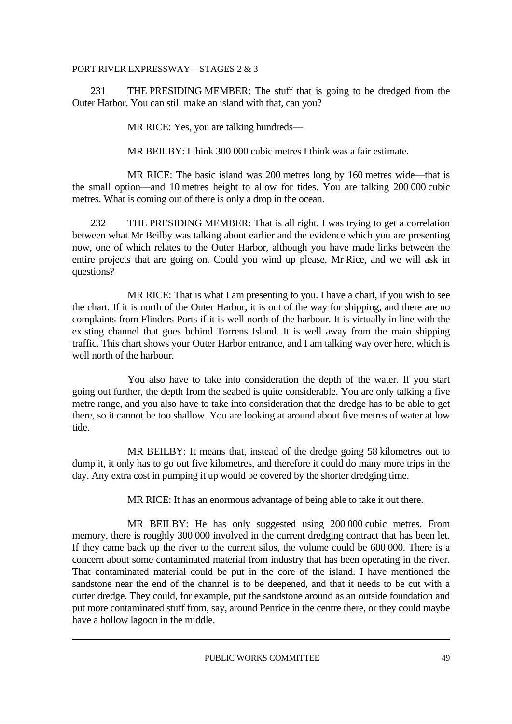231 THE PRESIDING MEMBER: The stuff that is going to be dredged from the Outer Harbor. You can still make an island with that, can you?

MR RICE: Yes, you are talking hundreds—

MR BEILBY: I think 300 000 cubic metres I think was a fair estimate.

 MR RICE: The basic island was 200 metres long by 160 metres wide—that is the small option—and 10 metres height to allow for tides. You are talking 200 000 cubic metres. What is coming out of there is only a drop in the ocean.

 232 THE PRESIDING MEMBER: That is all right. I was trying to get a correlation between what Mr Beilby was talking about earlier and the evidence which you are presenting now, one of which relates to the Outer Harbor, although you have made links between the entire projects that are going on. Could you wind up please, Mr Rice, and we will ask in questions?

 MR RICE: That is what I am presenting to you. I have a chart, if you wish to see the chart. If it is north of the Outer Harbor, it is out of the way for shipping, and there are no complaints from Flinders Ports if it is well north of the harbour. It is virtually in line with the existing channel that goes behind Torrens Island. It is well away from the main shipping traffic. This chart shows your Outer Harbor entrance, and I am talking way over here, which is well north of the harbour.

 You also have to take into consideration the depth of the water. If you start going out further, the depth from the seabed is quite considerable. You are only talking a five metre range, and you also have to take into consideration that the dredge has to be able to get there, so it cannot be too shallow. You are looking at around about five metres of water at low tide.

 MR BEILBY: It means that, instead of the dredge going 58 kilometres out to dump it, it only has to go out five kilometres, and therefore it could do many more trips in the day. Any extra cost in pumping it up would be covered by the shorter dredging time.

MR RICE: It has an enormous advantage of being able to take it out there.

 MR BEILBY: He has only suggested using 200 000 cubic metres. From memory, there is roughly 300 000 involved in the current dredging contract that has been let. If they came back up the river to the current silos, the volume could be 600 000. There is a concern about some contaminated material from industry that has been operating in the river. That contaminated material could be put in the core of the island. I have mentioned the sandstone near the end of the channel is to be deepened, and that it needs to be cut with a cutter dredge. They could, for example, put the sandstone around as an outside foundation and put more contaminated stuff from, say, around Penrice in the centre there, or they could maybe have a hollow lagoon in the middle.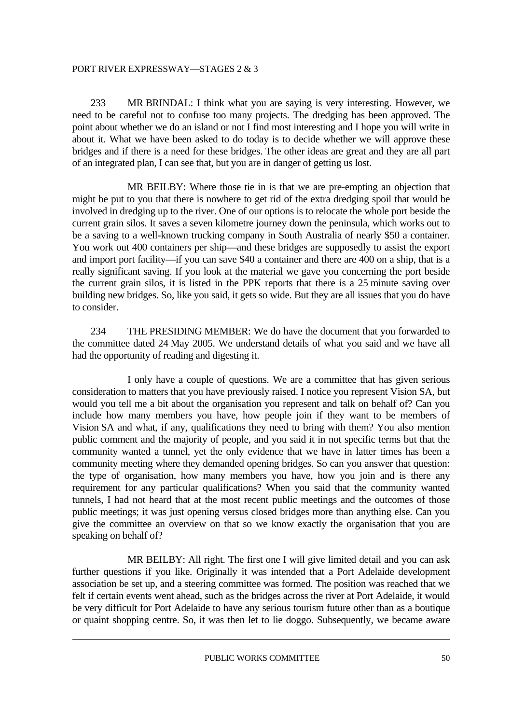233 MR BRINDAL: I think what you are saying is very interesting. However, we need to be careful not to confuse too many projects. The dredging has been approved. The point about whether we do an island or not I find most interesting and I hope you will write in about it. What we have been asked to do today is to decide whether we will approve these bridges and if there is a need for these bridges. The other ideas are great and they are all part of an integrated plan, I can see that, but you are in danger of getting us lost.

 MR BEILBY: Where those tie in is that we are pre-empting an objection that might be put to you that there is nowhere to get rid of the extra dredging spoil that would be involved in dredging up to the river. One of our options is to relocate the whole port beside the current grain silos. It saves a seven kilometre journey down the peninsula, which works out to be a saving to a well-known trucking company in South Australia of nearly \$50 a container. You work out 400 containers per ship—and these bridges are supposedly to assist the export and import port facility—if you can save \$40 a container and there are 400 on a ship, that is a really significant saving. If you look at the material we gave you concerning the port beside the current grain silos, it is listed in the PPK reports that there is a 25 minute saving over building new bridges. So, like you said, it gets so wide. But they are all issues that you do have to consider.

 234 THE PRESIDING MEMBER: We do have the document that you forwarded to the committee dated 24 May 2005. We understand details of what you said and we have all had the opportunity of reading and digesting it.

 I only have a couple of questions. We are a committee that has given serious consideration to matters that you have previously raised. I notice you represent Vision SA, but would you tell me a bit about the organisation you represent and talk on behalf of? Can you include how many members you have, how people join if they want to be members of Vision SA and what, if any, qualifications they need to bring with them? You also mention public comment and the majority of people, and you said it in not specific terms but that the community wanted a tunnel, yet the only evidence that we have in latter times has been a community meeting where they demanded opening bridges. So can you answer that question: the type of organisation, how many members you have, how you join and is there any requirement for any particular qualifications? When you said that the community wanted tunnels, I had not heard that at the most recent public meetings and the outcomes of those public meetings; it was just opening versus closed bridges more than anything else. Can you give the committee an overview on that so we know exactly the organisation that you are speaking on behalf of?

 MR BEILBY: All right. The first one I will give limited detail and you can ask further questions if you like. Originally it was intended that a Port Adelaide development association be set up, and a steering committee was formed. The position was reached that we felt if certain events went ahead, such as the bridges across the river at Port Adelaide, it would be very difficult for Port Adelaide to have any serious tourism future other than as a boutique or quaint shopping centre. So, it was then let to lie doggo. Subsequently, we became aware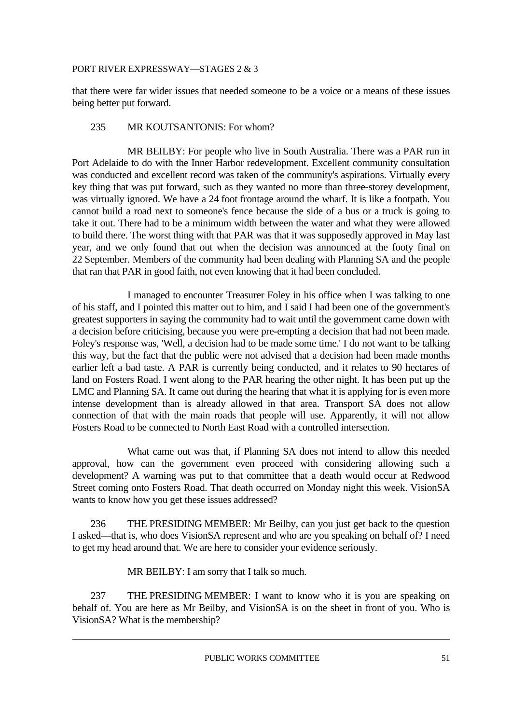that there were far wider issues that needed someone to be a voice or a means of these issues being better put forward.

#### 235 MR KOUTSANTONIS: For whom?

 MR BEILBY: For people who live in South Australia. There was a PAR run in Port Adelaide to do with the Inner Harbor redevelopment. Excellent community consultation was conducted and excellent record was taken of the community's aspirations. Virtually every key thing that was put forward, such as they wanted no more than three-storey development, was virtually ignored. We have a 24 foot frontage around the wharf. It is like a footpath. You cannot build a road next to someone's fence because the side of a bus or a truck is going to take it out. There had to be a minimum width between the water and what they were allowed to build there. The worst thing with that PAR was that it was supposedly approved in May last year, and we only found that out when the decision was announced at the footy final on 22 September. Members of the community had been dealing with Planning SA and the people that ran that PAR in good faith, not even knowing that it had been concluded.

 I managed to encounter Treasurer Foley in his office when I was talking to one of his staff, and I pointed this matter out to him, and I said I had been one of the government's greatest supporters in saying the community had to wait until the government came down with a decision before criticising, because you were pre-empting a decision that had not been made. Foley's response was, 'Well, a decision had to be made some time.' I do not want to be talking this way, but the fact that the public were not advised that a decision had been made months earlier left a bad taste. A PAR is currently being conducted, and it relates to 90 hectares of land on Fosters Road. I went along to the PAR hearing the other night. It has been put up the LMC and Planning SA. It came out during the hearing that what it is applying for is even more intense development than is already allowed in that area. Transport SA does not allow connection of that with the main roads that people will use. Apparently, it will not allow Fosters Road to be connected to North East Road with a controlled intersection.

 What came out was that, if Planning SA does not intend to allow this needed approval, how can the government even proceed with considering allowing such a development? A warning was put to that committee that a death would occur at Redwood Street coming onto Fosters Road. That death occurred on Monday night this week. VisionSA wants to know how you get these issues addressed?

 236 THE PRESIDING MEMBER: Mr Beilby, can you just get back to the question I asked—that is, who does VisionSA represent and who are you speaking on behalf of? I need to get my head around that. We are here to consider your evidence seriously.

MR BEILBY: I am sorry that I talk so much.

 237 THE PRESIDING MEMBER: I want to know who it is you are speaking on behalf of. You are here as Mr Beilby, and VisionSA is on the sheet in front of you. Who is VisionSA? What is the membership?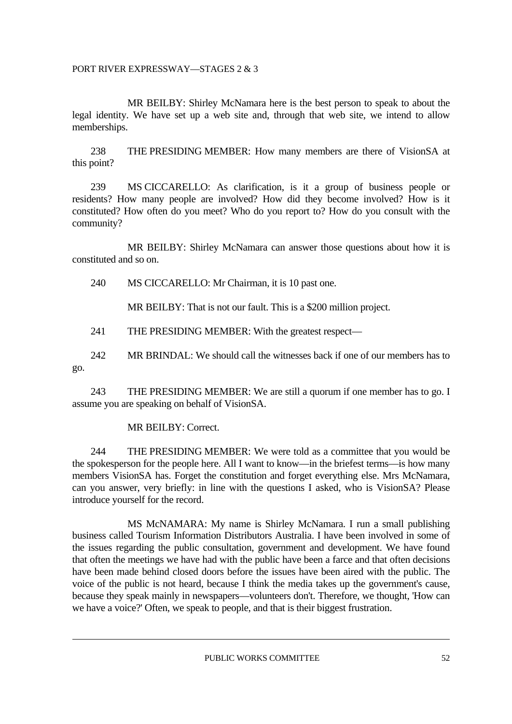MR BEILBY: Shirley McNamara here is the best person to speak to about the legal identity. We have set up a web site and, through that web site, we intend to allow memberships.

 238 THE PRESIDING MEMBER: How many members are there of VisionSA at this point?

 239 MS CICCARELLO: As clarification, is it a group of business people or residents? How many people are involved? How did they become involved? How is it constituted? How often do you meet? Who do you report to? How do you consult with the community?

 MR BEILBY: Shirley McNamara can answer those questions about how it is constituted and so on.

240 MS CICCARELLO: Mr Chairman, it is 10 past one.

MR BEILBY: That is not our fault. This is a \$200 million project.

241 THE PRESIDING MEMBER: With the greatest respect—

 242 MR BRINDAL: We should call the witnesses back if one of our members has to go.

 243 THE PRESIDING MEMBER: We are still a quorum if one member has to go. I assume you are speaking on behalf of VisionSA.

#### MR BEILBY: Correct.

 244 THE PRESIDING MEMBER: We were told as a committee that you would be the spokesperson for the people here. All I want to know—in the briefest terms—is how many members VisionSA has. Forget the constitution and forget everything else. Mrs McNamara, can you answer, very briefly: in line with the questions I asked, who is VisionSA? Please introduce yourself for the record.

 MS McNAMARA: My name is Shirley McNamara. I run a small publishing business called Tourism Information Distributors Australia. I have been involved in some of the issues regarding the public consultation, government and development. We have found that often the meetings we have had with the public have been a farce and that often decisions have been made behind closed doors before the issues have been aired with the public. The voice of the public is not heard, because I think the media takes up the government's cause, because they speak mainly in newspapers—volunteers don't. Therefore, we thought, 'How can we have a voice?' Often, we speak to people, and that is their biggest frustration.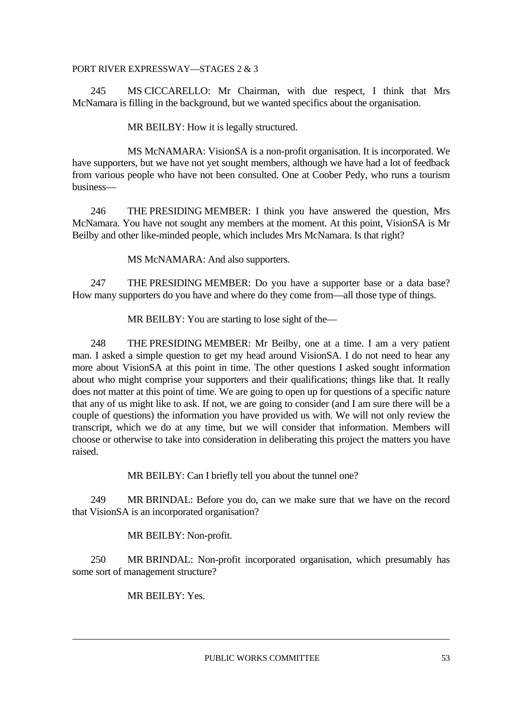245 MS CICCARELLO: Mr Chairman, with due respect, I think that Mrs McNamara is filling in the background, but we wanted specifics about the organisation.

MR BEILBY: How it is legally structured.

 MS McNAMARA: VisionSA is a non-profit organisation. It is incorporated. We have supporters, but we have not yet sought members, although we have had a lot of feedback from various people who have not been consulted. One at Coober Pedy, who runs a tourism business—

 246 THE PRESIDING MEMBER: I think you have answered the question, Mrs McNamara. You have not sought any members at the moment. At this point, VisionSA is Mr Beilby and other like-minded people, which includes Mrs McNamara. Is that right?

MS McNAMARA: And also supporters.

 247 THE PRESIDING MEMBER: Do you have a supporter base or a data base? How many supporters do you have and where do they come from—all those type of things.

MR BEILBY: You are starting to lose sight of the—

 248 THE PRESIDING MEMBER: Mr Beilby, one at a time. I am a very patient man. I asked a simple question to get my head around VisionSA. I do not need to hear any more about VisionSA at this point in time. The other questions I asked sought information about who might comprise your supporters and their qualifications; things like that. It really does not matter at this point of time. We are going to open up for questions of a specific nature that any of us might like to ask. If not, we are going to consider (and I am sure there will be a couple of questions) the information you have provided us with. We will not only review the transcript, which we do at any time, but we will consider that information. Members will choose or otherwise to take into consideration in deliberating this project the matters you have raised.

MR BEILBY: Can I briefly tell you about the tunnel one?

 249 MR BRINDAL: Before you do, can we make sure that we have on the record that VisionSA is an incorporated organisation?

MR BEILBY: Non-profit.

 250 MR BRINDAL: Non-profit incorporated organisation, which presumably has some sort of management structure?

MR BEILBY: Yes.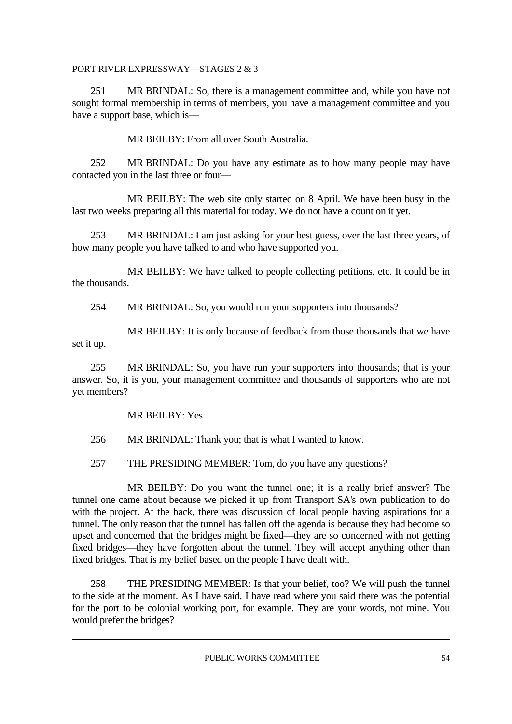251 MR BRINDAL: So, there is a management committee and, while you have not sought formal membership in terms of members, you have a management committee and you have a support base, which is—

MR BEILBY: From all over South Australia.

 252 MR BRINDAL: Do you have any estimate as to how many people may have contacted you in the last three or four—

 MR BEILBY: The web site only started on 8 April. We have been busy in the last two weeks preparing all this material for today. We do not have a count on it yet.

 253 MR BRINDAL: I am just asking for your best guess, over the last three years, of how many people you have talked to and who have supported you.

 MR BEILBY: We have talked to people collecting petitions, etc. It could be in the thousands.

254 MR BRINDAL: So, you would run your supporters into thousands?

 MR BEILBY: It is only because of feedback from those thousands that we have set it up.

 255 MR BRINDAL: So, you have run your supporters into thousands; that is your answer. So, it is you, your management committee and thousands of supporters who are not yet members?

MR BEILBY: Yes.

256 MR BRINDAL: Thank you; that is what I wanted to know.

257 THE PRESIDING MEMBER: Tom, do you have any questions?

 MR BEILBY: Do you want the tunnel one; it is a really brief answer? The tunnel one came about because we picked it up from Transport SA's own publication to do with the project. At the back, there was discussion of local people having aspirations for a tunnel. The only reason that the tunnel has fallen off the agenda is because they had become so upset and concerned that the bridges might be fixed—they are so concerned with not getting fixed bridges—they have forgotten about the tunnel. They will accept anything other than fixed bridges. That is my belief based on the people I have dealt with.

 258 THE PRESIDING MEMBER: Is that your belief, too? We will push the tunnel to the side at the moment. As I have said, I have read where you said there was the potential for the port to be colonial working port, for example. They are your words, not mine. You would prefer the bridges?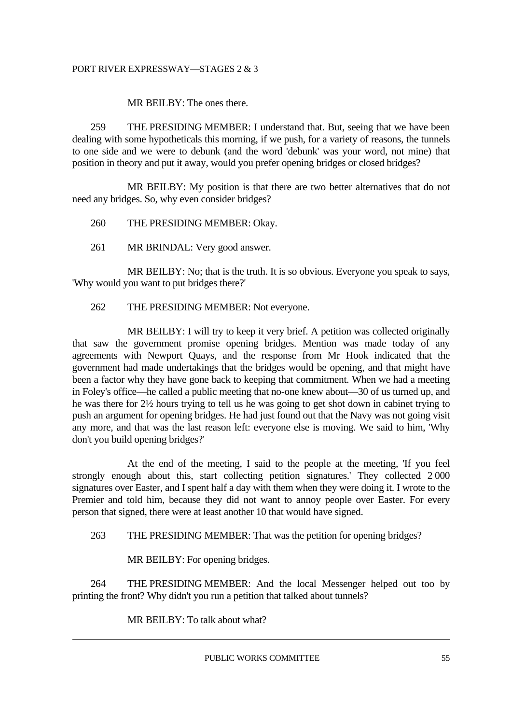#### MR BEILBY: The ones there.

 259 THE PRESIDING MEMBER: I understand that. But, seeing that we have been dealing with some hypotheticals this morning, if we push, for a variety of reasons, the tunnels to one side and we were to debunk (and the word 'debunk' was your word, not mine) that position in theory and put it away, would you prefer opening bridges or closed bridges?

 MR BEILBY: My position is that there are two better alternatives that do not need any bridges. So, why even consider bridges?

260 THE PRESIDING MEMBER: Okay.

261 MR BRINDAL: Very good answer.

MR BEILBY: No; that is the truth. It is so obvious. Everyone you speak to says, 'Why would you want to put bridges there?'

262 THE PRESIDING MEMBER: Not everyone.

MR BEILBY: I will try to keep it very brief. A petition was collected originally that saw the government promise opening bridges. Mention was made today of any agreements with Newport Quays, and the response from Mr Hook indicated that the government had made undertakings that the bridges would be opening, and that might have been a factor why they have gone back to keeping that commitment. When we had a meeting in Foley's office—he called a public meeting that no-one knew about—30 of us turned up, and he was there for 2½ hours trying to tell us he was going to get shot down in cabinet trying to push an argument for opening bridges. He had just found out that the Navy was not going visit any more, and that was the last reason left: everyone else is moving. We said to him, 'Why don't you build opening bridges?'

 At the end of the meeting, I said to the people at the meeting, 'If you feel strongly enough about this, start collecting petition signatures.' They collected 2 000 signatures over Easter, and I spent half a day with them when they were doing it. I wrote to the Premier and told him, because they did not want to annoy people over Easter. For every person that signed, there were at least another 10 that would have signed.

263 THE PRESIDING MEMBER: That was the petition for opening bridges?

MR BEILBY: For opening bridges.

 264 THE PRESIDING MEMBER: And the local Messenger helped out too by printing the front? Why didn't you run a petition that talked about tunnels?

MR BEILBY: To talk about what?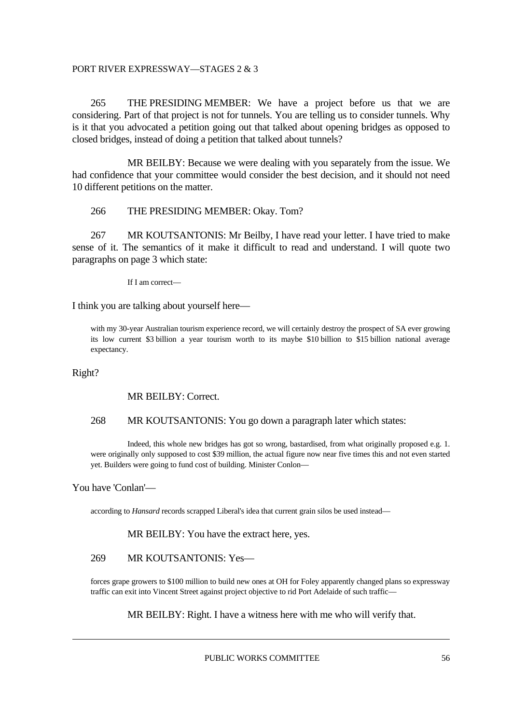265 THE PRESIDING MEMBER: We have a project before us that we are considering. Part of that project is not for tunnels. You are telling us to consider tunnels. Why is it that you advocated a petition going out that talked about opening bridges as opposed to closed bridges, instead of doing a petition that talked about tunnels?

 MR BEILBY: Because we were dealing with you separately from the issue. We had confidence that your committee would consider the best decision, and it should not need 10 different petitions on the matter.

#### 266 THE PRESIDING MEMBER: Okay. Tom?

 267 MR KOUTSANTONIS: Mr Beilby, I have read your letter. I have tried to make sense of it. The semantics of it make it difficult to read and understand. I will quote two paragraphs on page 3 which state:

If I am correct—

I think you are talking about yourself here—

with my 30-year Australian tourism experience record, we will certainly destroy the prospect of SA ever growing its low current \$3 billion a year tourism worth to its maybe \$10 billion to \$15 billion national average expectancy.

Right?

#### MR BEILBY: Correct.

#### 268 MR KOUTSANTONIS: You go down a paragraph later which states:

 Indeed, this whole new bridges has got so wrong, bastardised, from what originally proposed e.g. 1. were originally only supposed to cost \$39 million, the actual figure now near five times this and not even started yet. Builders were going to fund cost of building. Minister Conlon—

#### You have 'Conlan'—

according to *Hansard* records scrapped Liberal's idea that current grain silos be used instead—

MR BEILBY: You have the extract here, yes.

#### 269 MR KOUTSANTONIS: Yes—

 forces grape growers to \$100 million to build new ones at OH for Foley apparently changed plans so expressway traffic can exit into Vincent Street against project objective to rid Port Adelaide of such traffic—

MR BEILBY: Right. I have a witness here with me who will verify that.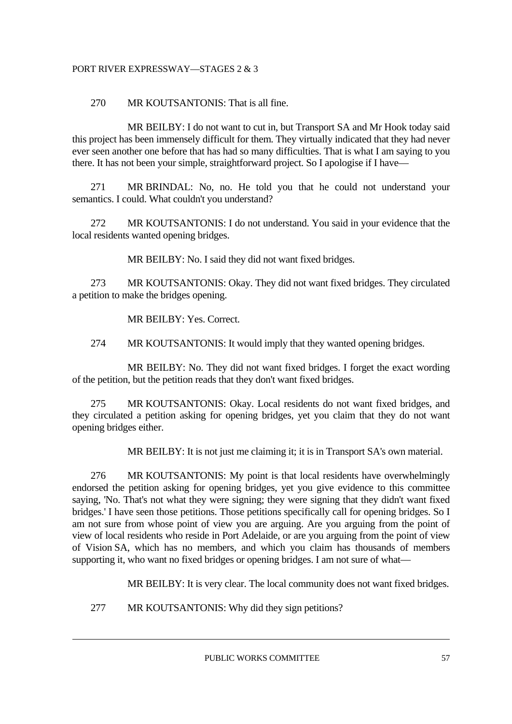#### 270 MR KOUTSANTONIS: That is all fine.

 MR BEILBY: I do not want to cut in, but Transport SA and Mr Hook today said this project has been immensely difficult for them. They virtually indicated that they had never ever seen another one before that has had so many difficulties. That is what I am saying to you there. It has not been your simple, straightforward project. So I apologise if I have—

 271 MR BRINDAL: No, no. He told you that he could not understand your semantics. I could. What couldn't you understand?

 272 MR KOUTSANTONIS: I do not understand. You said in your evidence that the local residents wanted opening bridges.

MR BEILBY: No. I said they did not want fixed bridges.

 273 MR KOUTSANTONIS: Okay. They did not want fixed bridges. They circulated a petition to make the bridges opening.

MR BEILBY: Yes. Correct.

274 MR KOUTSANTONIS: It would imply that they wanted opening bridges.

 MR BEILBY: No. They did not want fixed bridges. I forget the exact wording of the petition, but the petition reads that they don't want fixed bridges.

 275 MR KOUTSANTONIS: Okay. Local residents do not want fixed bridges, and they circulated a petition asking for opening bridges, yet you claim that they do not want opening bridges either.

MR BEILBY: It is not just me claiming it; it is in Transport SA's own material.

 276 MR KOUTSANTONIS: My point is that local residents have overwhelmingly endorsed the petition asking for opening bridges, yet you give evidence to this committee saying, 'No. That's not what they were signing; they were signing that they didn't want fixed bridges.' I have seen those petitions. Those petitions specifically call for opening bridges. So I am not sure from whose point of view you are arguing. Are you arguing from the point of view of local residents who reside in Port Adelaide, or are you arguing from the point of view of Vision SA, which has no members, and which you claim has thousands of members supporting it, who want no fixed bridges or opening bridges. I am not sure of what—

MR BEILBY: It is very clear. The local community does not want fixed bridges.

277 MR KOUTSANTONIS: Why did they sign petitions?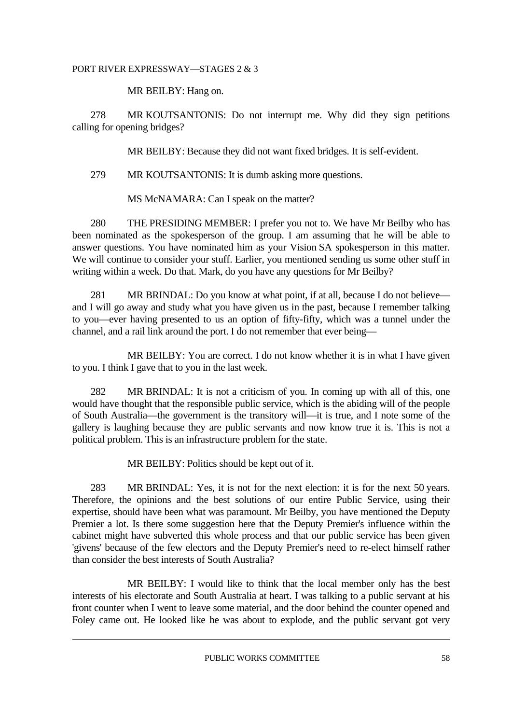MR BEILBY: Hang on.

 278 MR KOUTSANTONIS: Do not interrupt me. Why did they sign petitions calling for opening bridges?

MR BEILBY: Because they did not want fixed bridges. It is self-evident.

279 MR KOUTSANTONIS: It is dumb asking more questions.

MS McNAMARA: Can I speak on the matter?

 280 THE PRESIDING MEMBER: I prefer you not to. We have Mr Beilby who has been nominated as the spokesperson of the group. I am assuming that he will be able to answer questions. You have nominated him as your Vision SA spokesperson in this matter. We will continue to consider your stuff. Earlier, you mentioned sending us some other stuff in writing within a week. Do that. Mark, do you have any questions for Mr Beilby?

 281 MR BRINDAL: Do you know at what point, if at all, because I do not believe and I will go away and study what you have given us in the past, because I remember talking to you—ever having presented to us an option of fifty-fifty, which was a tunnel under the channel, and a rail link around the port. I do not remember that ever being—

 MR BEILBY: You are correct. I do not know whether it is in what I have given to you. I think I gave that to you in the last week.

 282 MR BRINDAL: It is not a criticism of you. In coming up with all of this, one would have thought that the responsible public service, which is the abiding will of the people of South Australia—the government is the transitory will—it is true, and I note some of the gallery is laughing because they are public servants and now know true it is. This is not a political problem. This is an infrastructure problem for the state.

MR BEILBY: Politics should be kept out of it.

 283 MR BRINDAL: Yes, it is not for the next election: it is for the next 50 years. Therefore, the opinions and the best solutions of our entire Public Service, using their expertise, should have been what was paramount. Mr Beilby, you have mentioned the Deputy Premier a lot. Is there some suggestion here that the Deputy Premier's influence within the cabinet might have subverted this whole process and that our public service has been given 'givens' because of the few electors and the Deputy Premier's need to re-elect himself rather than consider the best interests of South Australia?

 MR BEILBY: I would like to think that the local member only has the best interests of his electorate and South Australia at heart. I was talking to a public servant at his front counter when I went to leave some material, and the door behind the counter opened and Foley came out. He looked like he was about to explode, and the public servant got very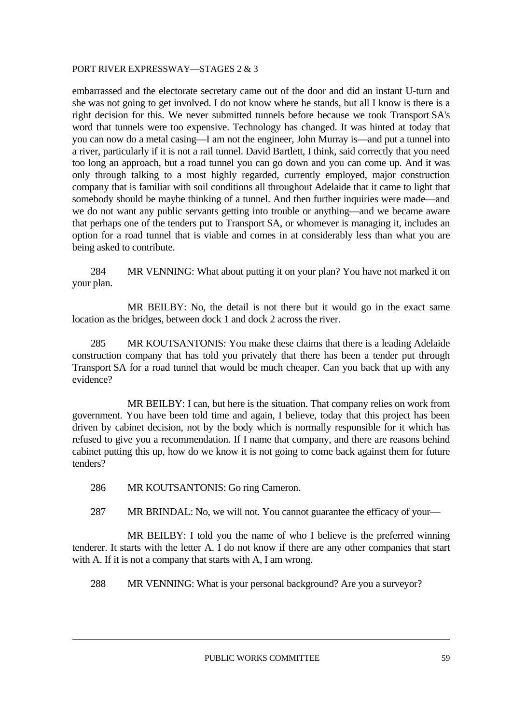embarrassed and the electorate secretary came out of the door and did an instant U-turn and she was not going to get involved. I do not know where he stands, but all I know is there is a right decision for this. We never submitted tunnels before because we took Transport SA's word that tunnels were too expensive. Technology has changed. It was hinted at today that you can now do a metal casing—I am not the engineer, John Murray is—and put a tunnel into a river, particularly if it is not a rail tunnel. David Bartlett, I think, said correctly that you need too long an approach, but a road tunnel you can go down and you can come up. And it was only through talking to a most highly regarded, currently employed, major construction company that is familiar with soil conditions all throughout Adelaide that it came to light that somebody should be maybe thinking of a tunnel. And then further inquiries were made—and we do not want any public servants getting into trouble or anything—and we became aware that perhaps one of the tenders put to Transport SA, or whomever is managing it, includes an option for a road tunnel that is viable and comes in at considerably less than what you are being asked to contribute.

 284 MR VENNING: What about putting it on your plan? You have not marked it on your plan.

 MR BEILBY: No, the detail is not there but it would go in the exact same location as the bridges, between dock 1 and dock 2 across the river.

 285 MR KOUTSANTONIS: You make these claims that there is a leading Adelaide construction company that has told you privately that there has been a tender put through Transport SA for a road tunnel that would be much cheaper. Can you back that up with any evidence?

MR BEILBY: I can, but here is the situation. That company relies on work from government. You have been told time and again, I believe, today that this project has been driven by cabinet decision, not by the body which is normally responsible for it which has refused to give you a recommendation. If I name that company, and there are reasons behind cabinet putting this up, how do we know it is not going to come back against them for future tenders?

- 286 MR KOUTSANTONIS: Go ring Cameron.
- 287 MR BRINDAL: No, we will not. You cannot guarantee the efficacy of your—

 MR BEILBY: I told you the name of who I believe is the preferred winning tenderer. It starts with the letter A. I do not know if there are any other companies that start with A. If it is not a company that starts with A, I am wrong.

288 MR VENNING: What is your personal background? Are you a surveyor?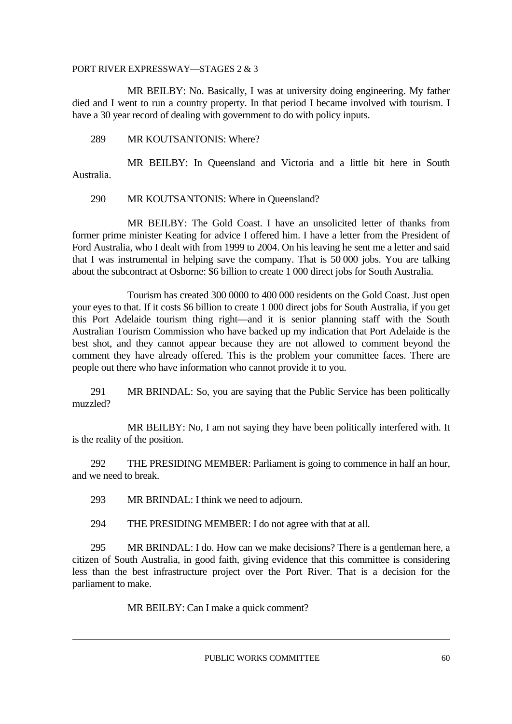MR BEILBY: No. Basically, I was at university doing engineering. My father died and I went to run a country property. In that period I became involved with tourism. I have a 30 year record of dealing with government to do with policy inputs.

289 MR KOUTSANTONIS: Where?

 MR BEILBY: In Queensland and Victoria and a little bit here in South Australia.

#### 290 MR KOUTSANTONIS: Where in Queensland?

 MR BEILBY: The Gold Coast. I have an unsolicited letter of thanks from former prime minister Keating for advice I offered him. I have a letter from the President of Ford Australia, who I dealt with from 1999 to 2004. On his leaving he sent me a letter and said that I was instrumental in helping save the company. That is 50 000 jobs. You are talking about the subcontract at Osborne: \$6 billion to create 1 000 direct jobs for South Australia.

 Tourism has created 300 0000 to 400 000 residents on the Gold Coast. Just open your eyes to that. If it costs \$6 billion to create 1 000 direct jobs for South Australia, if you get this Port Adelaide tourism thing right—and it is senior planning staff with the South Australian Tourism Commission who have backed up my indication that Port Adelaide is the best shot, and they cannot appear because they are not allowed to comment beyond the comment they have already offered. This is the problem your committee faces. There are people out there who have information who cannot provide it to you.

 291 MR BRINDAL: So, you are saying that the Public Service has been politically muzzled?

MR BEILBY: No, I am not saying they have been politically interfered with. It is the reality of the position.

 292 THE PRESIDING MEMBER: Parliament is going to commence in half an hour, and we need to break.

293 MR BRINDAL: I think we need to adjourn.

294 THE PRESIDING MEMBER: I do not agree with that at all.

 295 MR BRINDAL: I do. How can we make decisions? There is a gentleman here, a citizen of South Australia, in good faith, giving evidence that this committee is considering less than the best infrastructure project over the Port River. That is a decision for the parliament to make.

MR BEILBY: Can I make a quick comment?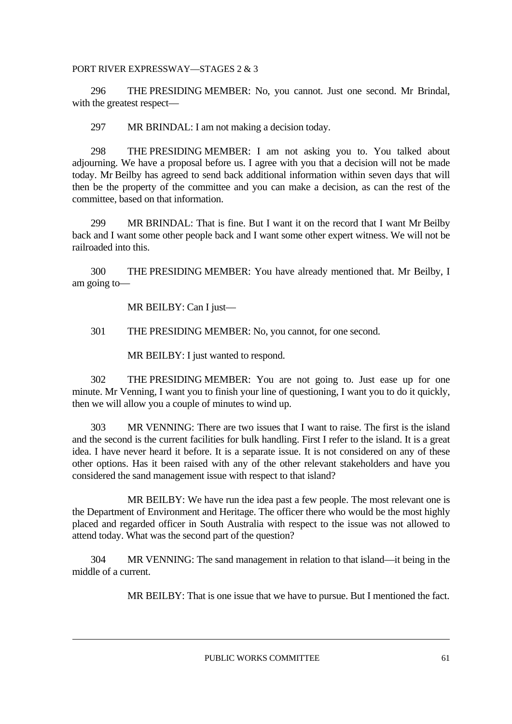296 THE PRESIDING MEMBER: No, you cannot. Just one second. Mr Brindal, with the greatest respect—

297 MR BRINDAL: I am not making a decision today.

 298 THE PRESIDING MEMBER: I am not asking you to. You talked about adjourning. We have a proposal before us. I agree with you that a decision will not be made today. Mr Beilby has agreed to send back additional information within seven days that will then be the property of the committee and you can make a decision, as can the rest of the committee, based on that information.

 299 MR BRINDAL: That is fine. But I want it on the record that I want Mr Beilby back and I want some other people back and I want some other expert witness. We will not be railroaded into this.

 300 THE PRESIDING MEMBER: You have already mentioned that. Mr Beilby, I am going to—

MR BEILBY: Can I just—

301 THE PRESIDING MEMBER: No, you cannot, for one second.

MR BEILBY: I just wanted to respond.

 302 THE PRESIDING MEMBER: You are not going to. Just ease up for one minute. Mr Venning, I want you to finish your line of questioning, I want you to do it quickly, then we will allow you a couple of minutes to wind up.

 303 MR VENNING: There are two issues that I want to raise. The first is the island and the second is the current facilities for bulk handling. First I refer to the island. It is a great idea. I have never heard it before. It is a separate issue. It is not considered on any of these other options. Has it been raised with any of the other relevant stakeholders and have you considered the sand management issue with respect to that island?

 MR BEILBY: We have run the idea past a few people. The most relevant one is the Department of Environment and Heritage. The officer there who would be the most highly placed and regarded officer in South Australia with respect to the issue was not allowed to attend today. What was the second part of the question?

 304 MR VENNING: The sand management in relation to that island—it being in the middle of a current.

MR BEILBY: That is one issue that we have to pursue. But I mentioned the fact.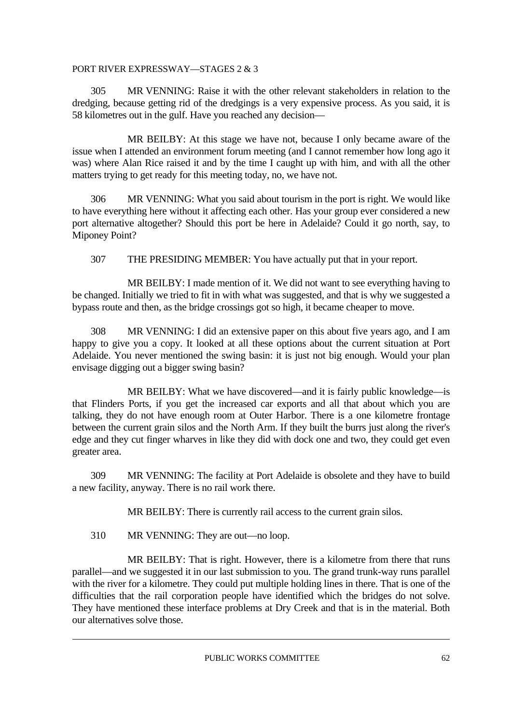305 MR VENNING: Raise it with the other relevant stakeholders in relation to the dredging, because getting rid of the dredgings is a very expensive process. As you said, it is 58 kilometres out in the gulf. Have you reached any decision—

 MR BEILBY: At this stage we have not, because I only became aware of the issue when I attended an environment forum meeting (and I cannot remember how long ago it was) where Alan Rice raised it and by the time I caught up with him, and with all the other matters trying to get ready for this meeting today, no, we have not.

 306 MR VENNING: What you said about tourism in the port is right. We would like to have everything here without it affecting each other. Has your group ever considered a new port alternative altogether? Should this port be here in Adelaide? Could it go north, say, to Miponey Point?

307 THE PRESIDING MEMBER: You have actually put that in your report.

 MR BEILBY: I made mention of it. We did not want to see everything having to be changed. Initially we tried to fit in with what was suggested, and that is why we suggested a bypass route and then, as the bridge crossings got so high, it became cheaper to move.

 308 MR VENNING: I did an extensive paper on this about five years ago, and I am happy to give you a copy. It looked at all these options about the current situation at Port Adelaide. You never mentioned the swing basin: it is just not big enough. Would your plan envisage digging out a bigger swing basin?

 MR BEILBY: What we have discovered—and it is fairly public knowledge—is that Flinders Ports, if you get the increased car exports and all that about which you are talking, they do not have enough room at Outer Harbor. There is a one kilometre frontage between the current grain silos and the North Arm. If they built the burrs just along the river's edge and they cut finger wharves in like they did with dock one and two, they could get even greater area.

 309 MR VENNING: The facility at Port Adelaide is obsolete and they have to build a new facility, anyway. There is no rail work there.

MR BEILBY: There is currently rail access to the current grain silos.

310 MR VENNING: They are out—no loop.

 MR BEILBY: That is right. However, there is a kilometre from there that runs parallel—and we suggested it in our last submission to you. The grand trunk-way runs parallel with the river for a kilometre. They could put multiple holding lines in there. That is one of the difficulties that the rail corporation people have identified which the bridges do not solve. They have mentioned these interface problems at Dry Creek and that is in the material. Both our alternatives solve those.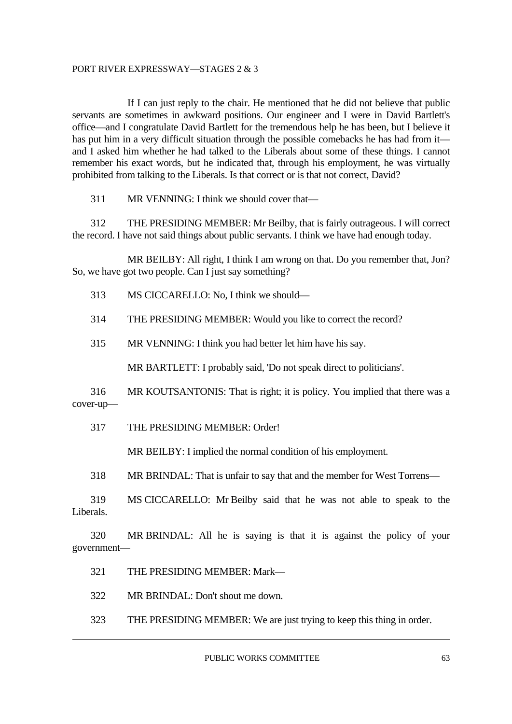If I can just reply to the chair. He mentioned that he did not believe that public servants are sometimes in awkward positions. Our engineer and I were in David Bartlett's office—and I congratulate David Bartlett for the tremendous help he has been, but I believe it has put him in a very difficult situation through the possible comebacks he has had from it and I asked him whether he had talked to the Liberals about some of these things. I cannot remember his exact words, but he indicated that, through his employment, he was virtually prohibited from talking to the Liberals. Is that correct or is that not correct, David?

311 MR VENNING: I think we should cover that—

 312 THE PRESIDING MEMBER: Mr Beilby, that is fairly outrageous. I will correct the record. I have not said things about public servants. I think we have had enough today.

MR BEILBY: All right, I think I am wrong on that. Do you remember that, Jon? So, we have got two people. Can I just say something?

313 MS CICCARELLO: No, I think we should—

314 THE PRESIDING MEMBER: Would you like to correct the record?

315 MR VENNING: I think you had better let him have his say.

MR BARTLETT: I probably said, 'Do not speak direct to politicians'.

 316 MR KOUTSANTONIS: That is right; it is policy. You implied that there was a cover-up—

317 THE PRESIDING MEMBER: Order!

MR BEILBY: I implied the normal condition of his employment.

318 MR BRINDAL: That is unfair to say that and the member for West Torrens—

 319 MS CICCARELLO: Mr Beilby said that he was not able to speak to the Liberals.

 320 MR BRINDAL: All he is saying is that it is against the policy of your government—

321 THE PRESIDING MEMBER: Mark—

322 MR BRINDAL: Don't shout me down.

323 THE PRESIDING MEMBER: We are just trying to keep this thing in order.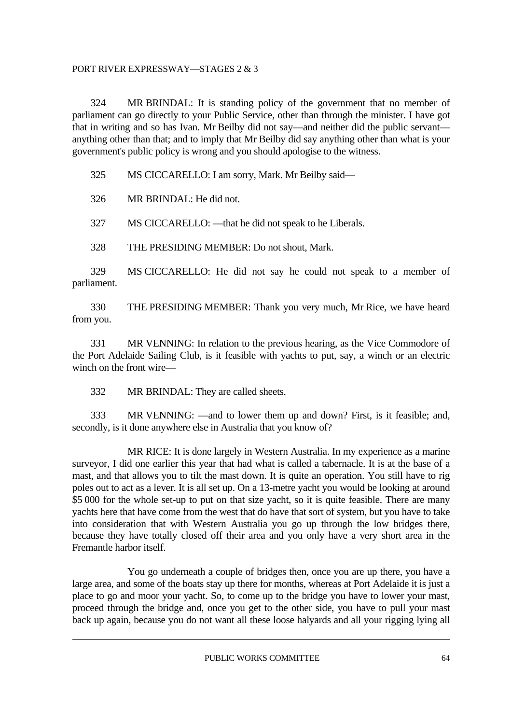324 MR BRINDAL: It is standing policy of the government that no member of parliament can go directly to your Public Service, other than through the minister. I have got that in writing and so has Ivan. Mr Beilby did not say—and neither did the public servant anything other than that; and to imply that Mr Beilby did say anything other than what is your government's public policy is wrong and you should apologise to the witness.

325 MS CICCARELLO: I am sorry, Mark. Mr Beilby said—

326 MR BRINDAL: He did not.

327 MS CICCARELLO: —that he did not speak to he Liberals.

328 THE PRESIDING MEMBER: Do not shout, Mark.

 329 MS CICCARELLO: He did not say he could not speak to a member of parliament.

 330 THE PRESIDING MEMBER: Thank you very much, Mr Rice, we have heard from you.

 331 MR VENNING: In relation to the previous hearing, as the Vice Commodore of the Port Adelaide Sailing Club, is it feasible with yachts to put, say, a winch or an electric winch on the front wire—

332 MR BRINDAL: They are called sheets.

 333 MR VENNING: —and to lower them up and down? First, is it feasible; and, secondly, is it done anywhere else in Australia that you know of?

 MR RICE: It is done largely in Western Australia. In my experience as a marine surveyor, I did one earlier this year that had what is called a tabernacle. It is at the base of a mast, and that allows you to tilt the mast down. It is quite an operation. You still have to rig poles out to act as a lever. It is all set up. On a 13-metre yacht you would be looking at around \$5 000 for the whole set-up to put on that size yacht, so it is quite feasible. There are many yachts here that have come from the west that do have that sort of system, but you have to take into consideration that with Western Australia you go up through the low bridges there, because they have totally closed off their area and you only have a very short area in the Fremantle harbor itself.

 You go underneath a couple of bridges then, once you are up there, you have a large area, and some of the boats stay up there for months, whereas at Port Adelaide it is just a place to go and moor your yacht. So, to come up to the bridge you have to lower your mast, proceed through the bridge and, once you get to the other side, you have to pull your mast back up again, because you do not want all these loose halyards and all your rigging lying all